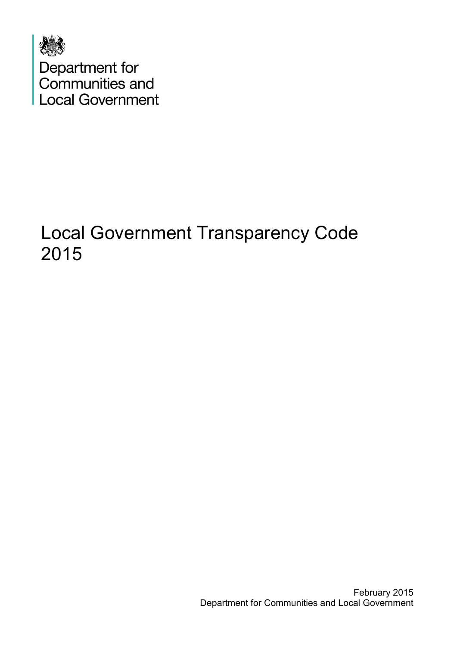

# Local Government Transparency Code 2015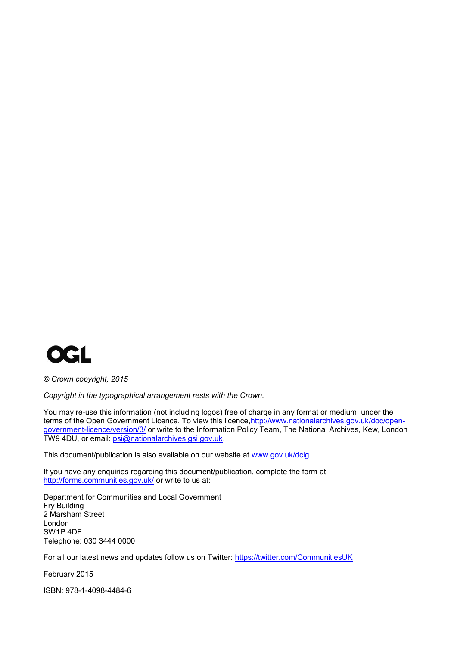

*© Crown copyright, 2015*

*Copyright in the typographical arrangement rests with the Crown.*

You may re-use this information (not including logos) free of charge in any format or medium, under the terms of the Open Government Licence. To view this licence, http://www.nationalarchives.gov.uk/doc/open[government-licence/version/3/](http://www.nationalarchives.gov.uk/doc/open-government-licence/version/3/) or write to the Information Policy Team, The National Archives, Kew, London TW9 4DU, or email: [psi@nationalarchives.gsi.gov.uk.](mailto:psi@nationalarchives.gsi.gov.uk)

This document/publication is also available on our website at [www.gov.uk/dclg](http://www.gov.uk/dclg)

If you have any enquiries regarding this document/publication, complete the form at <http://forms.communities.gov.uk/> or write to us at:

Department for Communities and Local Government Fry Building 2 Marsham Street London SW1P 4DF Telephone: 030 3444 0000

For all our latest news and updates follow us on Twitter:<https://twitter.com/CommunitiesUK>

February 2015

ISBN: 978-1-4098-4484-6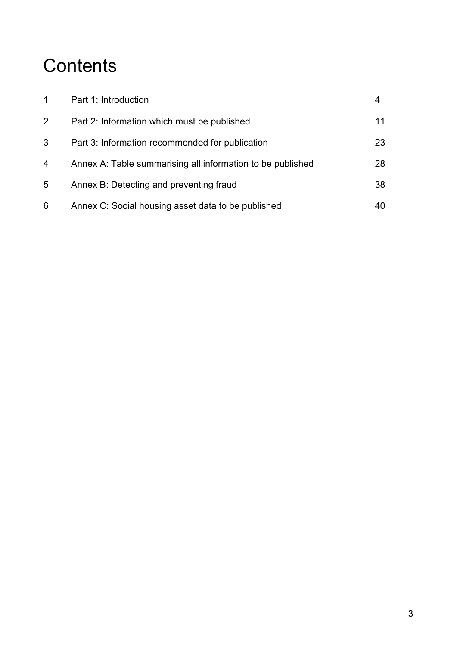# **Contents**

|                | Part 1: Introduction                                       |    |
|----------------|------------------------------------------------------------|----|
| $\overline{2}$ | Part 2: Information which must be published                | 11 |
| 3              | Part 3: Information recommended for publication            | 23 |
| $\overline{4}$ | Annex A: Table summarising all information to be published | 28 |
| 5              | Annex B: Detecting and preventing fraud                    | 38 |
| 6              | Annex C: Social housing asset data to be published         | 40 |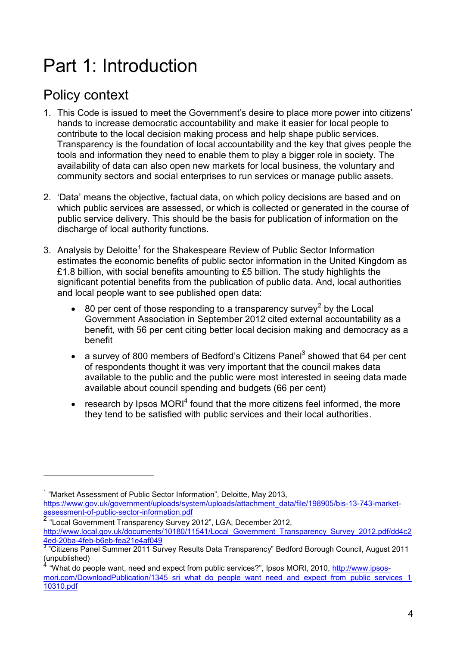# Part 1: Introduction

# Policy context

- 1. This Code is issued to meet the Government's desire to place more power into citizens' hands to increase democratic accountability and make it easier for local people to contribute to the local decision making process and help shape public services. Transparency is the foundation of local accountability and the key that gives people the tools and information they need to enable them to play a bigger role in society. The availability of data can also open new markets for local business, the voluntary and community sectors and social enterprises to run services or manage public assets.
- 2. 'Data' means the objective, factual data, on which policy decisions are based and on which public services are assessed, or which is collected or generated in the course of public service delivery. This should be the basis for publication of information on the discharge of local authority functions.
- 3. Analysis by Deloitte<sup>1</sup> for the Shakespeare Review of Public Sector Information estimates the economic benefits of public sector information in the United Kingdom as £1.8 billion, with social benefits amounting to £5 billion. The study highlights the significant potential benefits from the publication of public data. And, local authorities and local people want to see published open data:
	- $\bullet$  80 per cent of those responding to a transparency survey<sup>2</sup> by the Local Government Association in September 2012 cited external accountability as a benefit, with 56 per cent citing better local decision making and democracy as a benefit
	- a survey of 800 members of Bedford's Citizens Panel<sup>3</sup> showed that 64 per cent of respondents thought it was very important that the council makes data available to the public and the public were most interested in seeing data made available about council spending and budgets (66 per cent)
	- $\bullet$  research by Ipsos MORI<sup>4</sup> found that the more citizens feel informed, the more they tend to be satisfied with public services and their local authorities.

<sup>&</sup>lt;sup>1</sup> "Market Assessment of Public Sector Information", Deloitte, May 2013,

[https://www.gov.uk/government/uploads/system/uploads/attachment\\_data/file/198905/bis-13-743-market](https://www.gov.uk/government/uploads/system/uploads/attachment_data/file/198905/bis-13-743-market-assessment-of-public-sector-information.pdf)[assessment-of-public-sector-information.pdf](https://www.gov.uk/government/uploads/system/uploads/attachment_data/file/198905/bis-13-743-market-assessment-of-public-sector-information.pdf) 2 "Local Government Transparency Survey 2012", LGA, December 2012,

[http://www.local.gov.uk/documents/10180/11541/Local\\_Government\\_Transparency\\_Survey\\_2012.pdf/dd4c2](http://www.local.gov.uk/documents/10180/11541/Local_Government_Transparency_Survey_2012.pdf/dd4c24ed-20ba-4feb-b6eb-fea21e4af049) [4ed-20ba-4feb-b6eb-fea21e4af049](http://www.local.gov.uk/documents/10180/11541/Local_Government_Transparency_Survey_2012.pdf/dd4c24ed-20ba-4feb-b6eb-fea21e4af049)

<sup>&</sup>lt;sup>3</sup> "Citizens Panel Summer 2011 Survey Results Data Transparency" Bedford Borough Council, August 2011  $\frac{1}{4}$  "Mbst de no

<sup>&</sup>quot;What do people want, need and expect from public services?", Ipsos MORI, 2010, [http://www.ipsos](http://www.ipsos-mori.com/DownloadPublication/1345_sri_what_do_people_want_need_and_expect_from_public_services_110310.pdf)[mori.com/DownloadPublication/1345\\_sri\\_what\\_do\\_people\\_want\\_need\\_and\\_expect\\_from\\_public\\_services\\_1](http://www.ipsos-mori.com/DownloadPublication/1345_sri_what_do_people_want_need_and_expect_from_public_services_110310.pdf) [10310.pdf](http://www.ipsos-mori.com/DownloadPublication/1345_sri_what_do_people_want_need_and_expect_from_public_services_110310.pdf)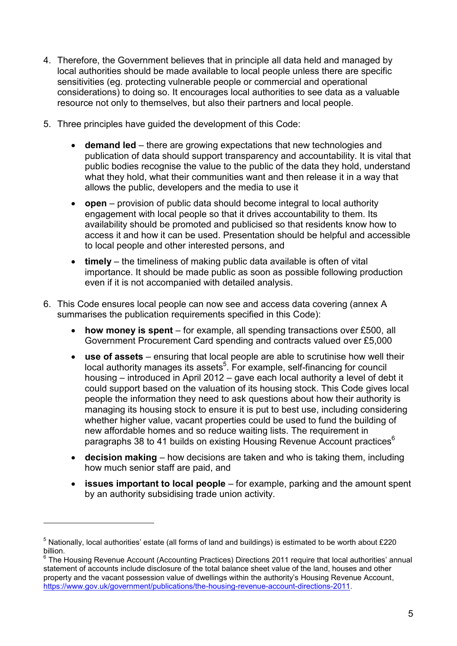- 4. Therefore, the Government believes that in principle all data held and managed by local authorities should be made available to local people unless there are specific sensitivities (eg. protecting vulnerable people or commercial and operational considerations) to doing so. It encourages local authorities to see data as a valuable resource not only to themselves, but also their partners and local people.
- 5. Three principles have guided the development of this Code:
	- **demand led** there are growing expectations that new technologies and publication of data should support transparency and accountability. It is vital that public bodies recognise the value to the public of the data they hold, understand what they hold, what their communities want and then release it in a way that allows the public, developers and the media to use it
	- **open** provision of public data should become integral to local authority engagement with local people so that it drives accountability to them. Its availability should be promoted and publicised so that residents know how to access it and how it can be used. Presentation should be helpful and accessible to local people and other interested persons, and
	- **timely** the timeliness of making public data available is often of vital importance. It should be made public as soon as possible following production even if it is not accompanied with detailed analysis.
- 6. This Code ensures local people can now see and access data covering (annex A summarises the publication requirements specified in this Code):
	- **how money is spent** for example, all spending transactions over £500, all Government Procurement Card spending and contracts valued over £5,000
	- **use of assets** ensuring that local people are able to scrutinise how well their local authority manages its assets<sup>5</sup>. For example, self-financing for council housing – introduced in April 2012 – gave each local authority a level of debt it could support based on the valuation of its housing stock. This Code gives local people the information they need to ask questions about how their authority is managing its housing stock to ensure it is put to best use, including considering whether higher value, vacant properties could be used to fund the building of new affordable homes and so reduce waiting lists. The requirement in paragraphs 38 to 41 builds on existing Housing Revenue Account practices $6$
	- **decision making** how decisions are taken and who is taking them, including how much senior staff are paid, and
	- **issues important to local people** for example, parking and the amount spent by an authority subsidising trade union activity.

<u>.</u>

 $5$  Nationally, local authorities' estate (all forms of land and buildings) is estimated to be worth about £220 billion.

<sup>6</sup> The Housing Revenue Account (Accounting Practices) Directions 2011 require that local authorities' annual statement of accounts include disclosure of the total balance sheet value of the land, houses and other property and the vacant possession value of dwellings within the authority's Housing Revenue Account, [https://www.gov.uk/government/publications/the-housing-revenue-account-directions-2011.](https://www.gov.uk/government/publications/the-housing-revenue-account-directions-2011)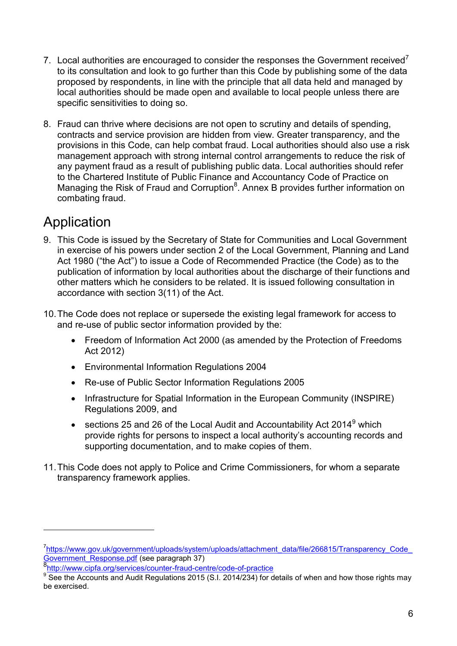- 7. Local authorities are encouraged to consider the responses the Government received<sup>7</sup> to its consultation and look to go further than this Code by publishing some of the data proposed by respondents, in line with the principle that all data held and managed by local authorities should be made open and available to local people unless there are specific sensitivities to doing so.
- 8. Fraud can thrive where decisions are not open to scrutiny and details of spending, contracts and service provision are hidden from view. Greater transparency, and the provisions in this Code, can help combat fraud. Local authorities should also use a risk management approach with strong internal control arrangements to reduce the risk of any payment fraud as a result of publishing public data. Local authorities should refer to the Chartered Institute of Public Finance and Accountancy Code of Practice on Managing the Risk of Fraud and Corruption<sup>8</sup>. Annex B provides further information on combating fraud.

# Application

- 9. This Code is issued by the Secretary of State for Communities and Local Government in exercise of his powers under section 2 of the Local Government, Planning and Land Act 1980 ("the Act") to issue a Code of Recommended Practice (the Code) as to the publication of information by local authorities about the discharge of their functions and other matters which he considers to be related. It is issued following consultation in accordance with section 3(11) of the Act.
- 10.The Code does not replace or supersede the existing legal framework for access to and re-use of public sector information provided by the:
	- Freedom of Information Act 2000 (as amended by the Protection of Freedoms Act 2012)
	- Environmental Information Regulations 2004
	- Re-use of Public Sector Information Regulations 2005
	- Infrastructure for Spatial Information in the European Community (INSPIRE) Regulations 2009, and
	- sections 25 and 26 of the Local Audit and Accountability Act 2014 $^9$  which provide rights for persons to inspect a local authority's accounting records and supporting documentation, and to make copies of them.
- 11.This Code does not apply to Police and Crime Commissioners, for whom a separate transparency framework applies.

<sup>&</sup>lt;sup>7</sup>https://www.gov.uk/government/uploads/system/uploads/attachment\_data/file/266815/Transparency\_Code\_ Government Response.pdf (see paragraph 37)

<sup>8</sup><http://www.cipfa.org/services/counter-fraud-centre/code-of-practice>

 $9^9$  See the Accounts and Audit Regulations 2015 (S.I. 2014/234) for details of when and how those rights may be exercised.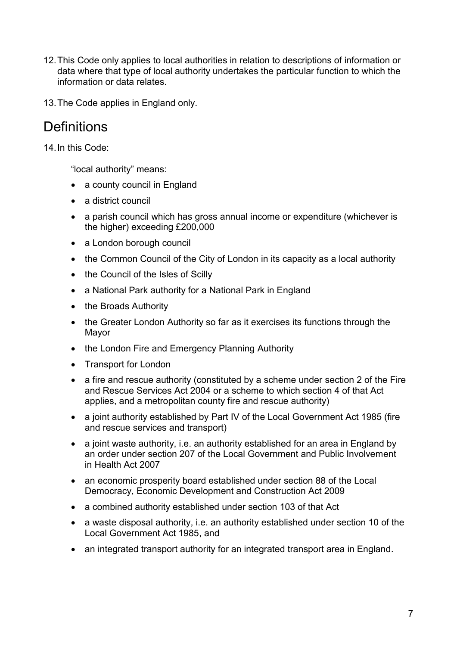- 12.This Code only applies to local authorities in relation to descriptions of information or data where that type of local authority undertakes the particular function to which the information or data relates.
- 13.The Code applies in England only.

## **Definitions**

14.In this Code:

"local authority" means:

- a county council in England
- a district council
- a parish council which has gross annual income or expenditure (whichever is the higher) exceeding £200,000
- a London borough council
- the Common Council of the City of London in its capacity as a local authority
- the Council of the Isles of Scilly
- a National Park authority for a National Park in England
- the Broads Authority
- the Greater London Authority so far as it exercises its functions through the Mayor
- the London Fire and Emergency Planning Authority
- Transport for London
- a fire and rescue authority (constituted by a scheme under section 2 of the Fire and Rescue Services Act 2004 or a scheme to which section 4 of that Act applies, and a metropolitan county fire and rescue authority)
- a joint authority established by Part IV of the Local Government Act 1985 (fire and rescue services and transport)
- a joint waste authority, i.e. an authority established for an area in England by an order under section 207 of the Local Government and Public Involvement in Health Act 2007
- an economic prosperity board established under section 88 of the Local Democracy, Economic Development and Construction Act 2009
- a combined authority established under section 103 of that Act
- a waste disposal authority, i.e. an authority established under section 10 of the Local Government Act 1985, and
- an integrated transport authority for an integrated transport area in England.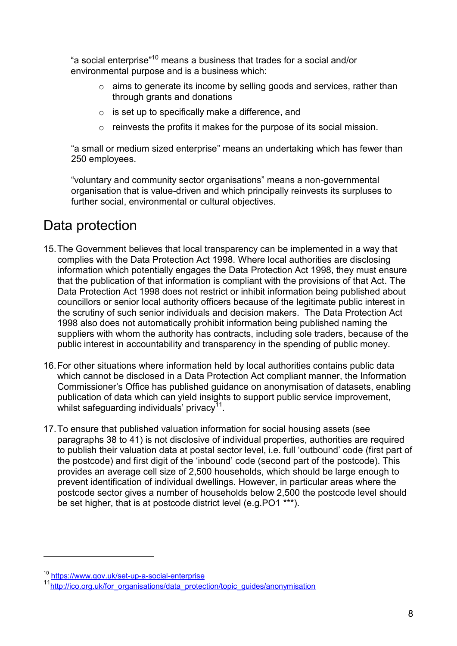"a social enterprise"<sup>10</sup> means a business that trades for a social and/or environmental purpose and is a business which:

- o aims to generate its income by selling goods and services, rather than through grants and donations
- $\circ$  is set up to specifically make a difference, and
- o reinvests the profits it makes for the purpose of its social mission.

"a small or medium sized enterprise" means an undertaking which has fewer than 250 employees.

"voluntary and community sector organisations" means a non-governmental organisation that is value-driven and which principally reinvests its surpluses to further social, environmental or cultural objectives.

# Data protection

- 15.The Government believes that local transparency can be implemented in a way that complies with the Data Protection Act 1998. Where local authorities are disclosing information which potentially engages the Data Protection Act 1998, they must ensure that the publication of that information is compliant with the provisions of that Act. The Data Protection Act 1998 does not restrict or inhibit information being published about councillors or senior local authority officers because of the legitimate public interest in the scrutiny of such senior individuals and decision makers. The Data Protection Act 1998 also does not automatically prohibit information being published naming the suppliers with whom the authority has contracts, including sole traders, because of the public interest in accountability and transparency in the spending of public money.
- 16.For other situations where information held by local authorities contains public data which cannot be disclosed in a Data Protection Act compliant manner, the Information Commissioner's Office has published guidance on anonymisation of datasets, enabling publication of data which can yield insights to support public service improvement, whilst safeguarding individuals' privacy $^{11}$ .
- 17.To ensure that published valuation information for social housing assets (see paragraphs 38 to 41) is not disclosive of individual properties, authorities are required to publish their valuation data at postal sector level, i.e. full 'outbound' code (first part of the postcode) and first digit of the 'inbound' code (second part of the postcode). This provides an average cell size of 2,500 households, which should be large enough to prevent identification of individual dwellings. However, in particular areas where the postcode sector gives a number of households below 2,500 the postcode level should be set higher, that is at postcode district level (e.g.PO1 \*\*\*).

<sup>10</sup> <https://www.gov.uk/set-up-a-social-enterprise>

<sup>&</sup>lt;sup>11</sup>[http://ico.org.uk/for\\_organisations/data\\_protection/topic\\_guides/anonymisation](http://ico.org.uk/for_organisations/data_protection/topic_guides/anonymisation)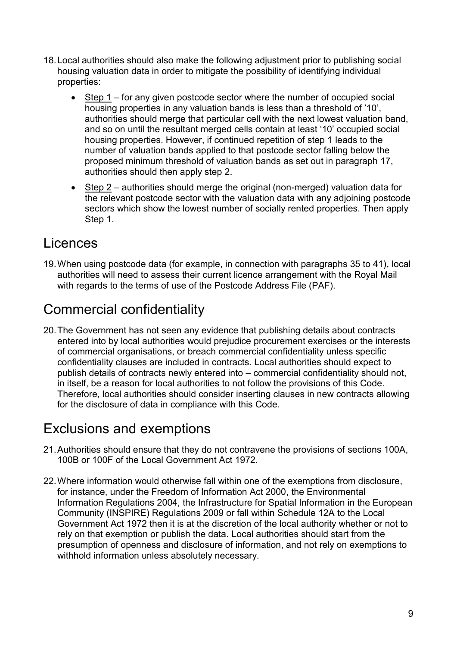- 18.Local authorities should also make the following adjustment prior to publishing social housing valuation data in order to mitigate the possibility of identifying individual properties:
	- Step 1 for any given postcode sector where the number of occupied social housing properties in any valuation bands is less than a threshold of '10', authorities should merge that particular cell with the next lowest valuation band, and so on until the resultant merged cells contain at least '10' occupied social housing properties. However, if continued repetition of step 1 leads to the number of valuation bands applied to that postcode sector falling below the proposed minimum threshold of valuation bands as set out in paragraph 17, authorities should then apply step 2.
	- $\bullet$  Step 2 authorities should merge the original (non-merged) valuation data for the relevant postcode sector with the valuation data with any adjoining postcode sectors which show the lowest number of socially rented properties. Then apply Step 1.

## Licences

19.When using postcode data (for example, in connection with paragraphs 35 to 41), local authorities will need to assess their current licence arrangement with the Royal Mail with regards to the terms of use of the Postcode Address File (PAF).

# Commercial confidentiality

20.The Government has not seen any evidence that publishing details about contracts entered into by local authorities would prejudice procurement exercises or the interests of commercial organisations, or breach commercial confidentiality unless specific confidentiality clauses are included in contracts. Local authorities should expect to publish details of contracts newly entered into – commercial confidentiality should not, in itself, be a reason for local authorities to not follow the provisions of this Code. Therefore, local authorities should consider inserting clauses in new contracts allowing for the disclosure of data in compliance with this Code.

# Exclusions and exemptions

- 21.Authorities should ensure that they do not contravene the provisions of sections 100A, 100B or 100F of the Local Government Act 1972.
- 22.Where information would otherwise fall within one of the exemptions from disclosure, for instance, under the Freedom of Information Act 2000, the Environmental Information Regulations 2004, the Infrastructure for Spatial Information in the European Community (INSPIRE) Regulations 2009 or fall within Schedule 12A to the Local Government Act 1972 then it is at the discretion of the local authority whether or not to rely on that exemption or publish the data. Local authorities should start from the presumption of openness and disclosure of information, and not rely on exemptions to withhold information unless absolutely necessary.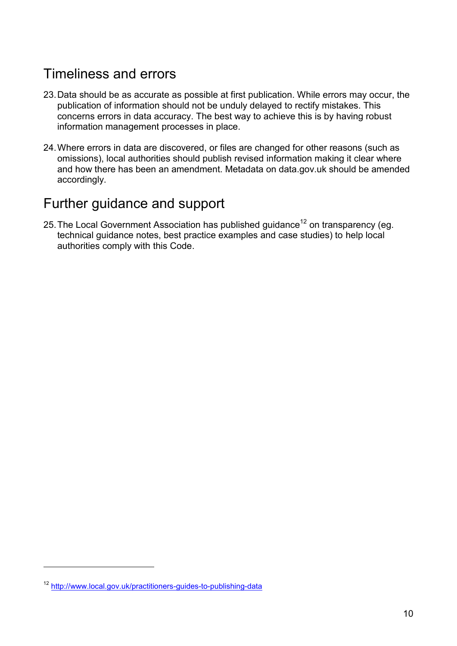# Timeliness and errors

- 23.Data should be as accurate as possible at first publication. While errors may occur, the publication of information should not be unduly delayed to rectify mistakes. This concerns errors in data accuracy. The best way to achieve this is by having robust information management processes in place.
- 24.Where errors in data are discovered, or files are changed for other reasons (such as omissions), local authorities should publish revised information making it clear where and how there has been an amendment. Metadata on data.gov.uk should be amended accordingly.

## Further guidance and support

25. The Local Government Association has published guidance<sup>12</sup> on transparency (eg. technical guidance notes, best practice examples and case studies) to help local authorities comply with this Code.

<sup>12</sup> <http://www.local.gov.uk/practitioners-guides-to-publishing-data>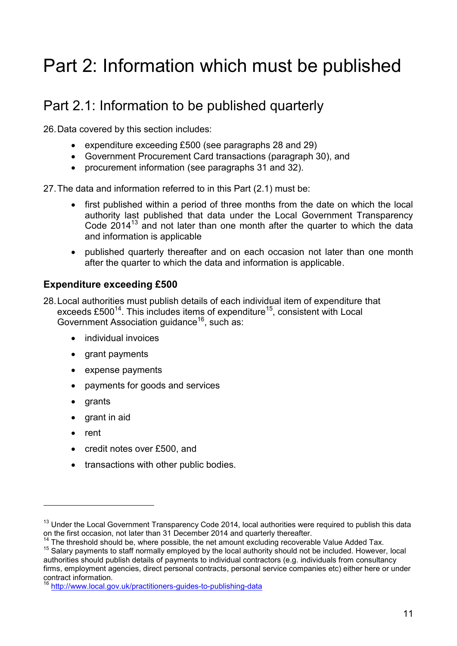# Part 2: Information which must be published

# Part 2.1: Information to be published quarterly

26.Data covered by this section includes:

- expenditure exceeding £500 (see paragraphs 28 and 29)
- Government Procurement Card transactions (paragraph 30), and
- procurement information (see paragraphs 31 and 32).

27.The data and information referred to in this Part (2.1) must be:

- first published within a period of three months from the date on which the local authority last published that data under the Local Government Transparency Code  $2014<sup>13</sup>$  and not later than one month after the quarter to which the data and information is applicable
- published quarterly thereafter and on each occasion not later than one month after the quarter to which the data and information is applicable.

### **Expenditure exceeding £500**

28.Local authorities must publish details of each individual item of expenditure that exceeds  $£500^{14}$ . This includes items of expenditure<sup>15</sup>, consistent with Local Government Association quidance<sup>16</sup>, such as:

- individual invoices
- grant payments
- expense payments
- payments for goods and services
- arants
- grant in aid
- rent

- credit notes over £500, and
- transactions with other public bodies.

<sup>&</sup>lt;sup>13</sup> Under the Local Government Transparency Code 2014, local authorities were required to publish this data on the first occasion, not later than 31 December 2014 and quarterly thereafter.

 $14$  The threshold should be, where possible, the net amount excluding recoverable Value Added Tax.

<sup>&</sup>lt;sup>15</sup> Salary payments to staff normally employed by the local authority should not be included. However, local authorities should publish details of payments to individual contractors (e.g. individuals from consultancy firms, employment agencies, direct personal contracts, personal service companies etc) either here or under contract information.

<http://www.local.gov.uk/practitioners-guides-to-publishing-data>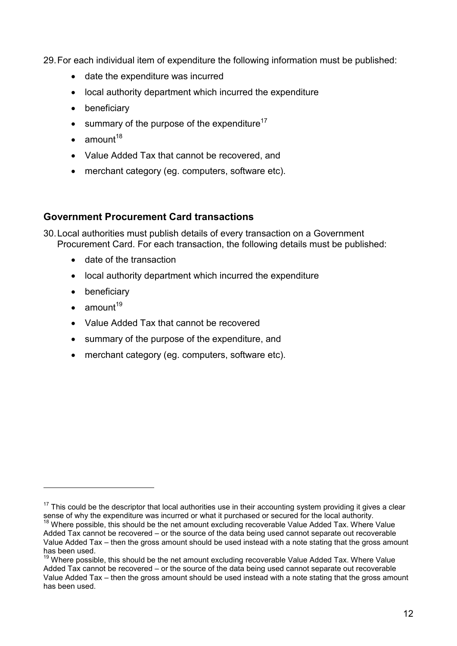29.For each individual item of expenditure the following information must be published:

- date the expenditure was incurred
- local authority department which incurred the expenditure
- beneficiary
- $\bullet$  summary of the purpose of the expenditure<sup>17</sup>
- $\bullet$  amount<sup>18</sup>
- Value Added Tax that cannot be recovered, and
- merchant category (eg. computers, software etc).

#### **Government Procurement Card transactions**

30.Local authorities must publish details of every transaction on a Government Procurement Card. For each transaction, the following details must be published:

- date of the transaction
- local authority department which incurred the expenditure
- beneficiary
- $\bullet$  amount<sup>19</sup>

- Value Added Tax that cannot be recovered
- summary of the purpose of the expenditure, and
- merchant category (eg. computers, software etc).

<sup>&</sup>lt;sup>17</sup> This could be the descriptor that local authorities use in their accounting system providing it gives a clear sense of why the expenditure was incurred or what it purchased or secured for the local authority.

 $18$  Where possible, this should be the net amount excluding recoverable Value Added Tax. Where Value Added Tax cannot be recovered – or the source of the data being used cannot separate out recoverable Value Added Tax – then the gross amount should be used instead with a note stating that the gross amount has been used.

<sup>19</sup> Where possible, this should be the net amount excluding recoverable Value Added Tax. Where Value Added Tax cannot be recovered – or the source of the data being used cannot separate out recoverable Value Added Tax – then the gross amount should be used instead with a note stating that the gross amount has been used.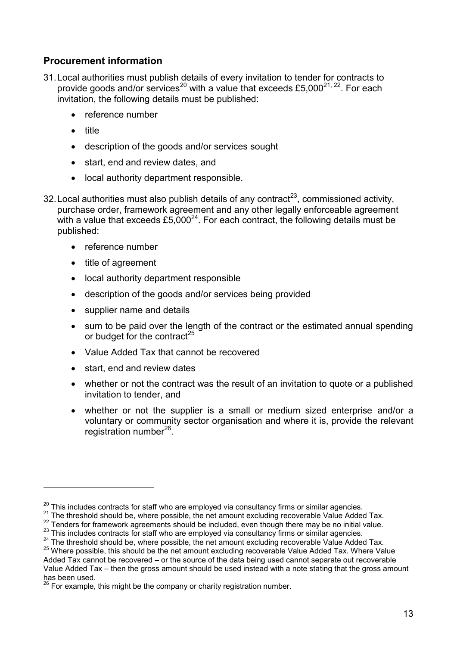### **Procurement information**

- 31.Local authorities must publish details of every invitation to tender for contracts to provide goods and/or services<sup>20</sup> with a value that exceeds £5,000<sup>21, 22</sup>. For each invitation, the following details must be published:
	- reference number
	- title

- description of the goods and/or services sought
- start, end and review dates, and
- local authority department responsible.
- 32. Local authorities must also publish details of any contract<sup>23</sup>, commissioned activity, purchase order, framework agreement and any other legally enforceable agreement with a value that exceeds £5,000 $^{24}$ . For each contract, the following details must be published:
	- reference number
	- title of agreement
	- local authority department responsible
	- description of the goods and/or services being provided
	- supplier name and details
	- sum to be paid over the length of the contract or the estimated annual spending or budget for the contract<sup>25</sup>
	- Value Added Tax that cannot be recovered
	- start, end and review dates
	- whether or not the contract was the result of an invitation to quote or a published invitation to tender, and
	- whether or not the supplier is a small or medium sized enterprise and/or a voluntary or community sector organisation and where it is, provide the relevant registration number<sup>26</sup>.

 $20$  This includes contracts for staff who are employed via consultancy firms or similar agencies.

<sup>&</sup>lt;sup>21</sup> The threshold should be, where possible, the net amount excluding recoverable Value Added Tax.

<sup>&</sup>lt;sup>22</sup> Tenders for framework agreements should be included, even though there may be no initial value.

<sup>&</sup>lt;sup>23</sup> This includes contracts for staff who are employed via consultancy firms or similar agencies.

<sup>&</sup>lt;sup>24</sup> The threshold should be, where possible, the net amount excluding recoverable Value Added Tax.

 $25$  Where possible, this should be the net amount excluding recoverable Value Added Tax. Where Value Added Tax cannot be recovered – or the source of the data being used cannot separate out recoverable Value Added Tax – then the gross amount should be used instead with a note stating that the gross amount has been used.

 $^{26}$  For example, this might be the company or charity registration number.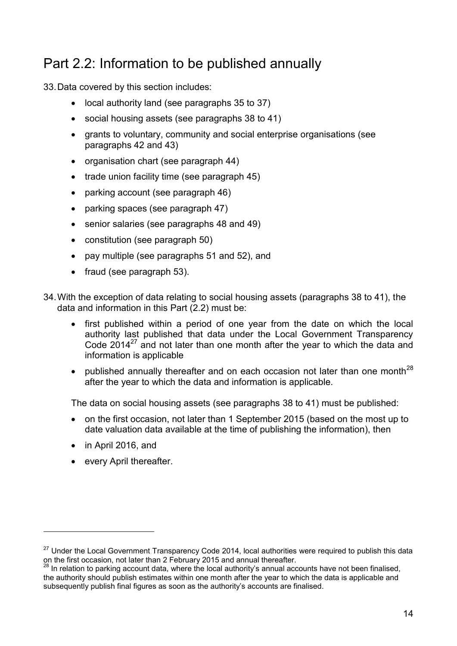# Part 2.2: Information to be published annually

33.Data covered by this section includes:

- local authority land (see paragraphs 35 to 37)
- social housing assets (see paragraphs 38 to 41)
- grants to voluntary, community and social enterprise organisations (see paragraphs 42 and 43)
- organisation chart (see paragraph 44)
- $\bullet$  trade union facility time (see paragraph 45)
- parking account (see paragraph 46)
- parking spaces (see paragraph 47)
- senior salaries (see paragraphs 48 and 49)
- constitution (see paragraph 50)
- pay multiple (see paragraphs 51 and 52), and
- fraud (see paragraph 53).
- 34.With the exception of data relating to social housing assets (paragraphs 38 to 41), the data and information in this Part (2.2) must be:
	- first published within a period of one year from the date on which the local authority last published that data under the Local Government Transparency Code 2014 $^{27}$  and not later than one month after the year to which the data and information is applicable
	- published annually thereafter and on each occasion not later than one month<sup>28</sup> after the year to which the data and information is applicable.

The data on social housing assets (see paragraphs 38 to 41) must be published:

- on the first occasion, not later than 1 September 2015 (based on the most up to date valuation data available at the time of publishing the information), then
- in April 2016, and

1

• every April thereafter.

<sup>&</sup>lt;sup>27</sup> Under the Local Government Transparency Code 2014, local authorities were required to publish this data on the first occasion, not later than 2 February 2015 and annual thereafter.

 $28$  In relation to parking account data, where the local authority's annual accounts have not been finalised, the authority should publish estimates within one month after the year to which the data is applicable and subsequently publish final figures as soon as the authority's accounts are finalised.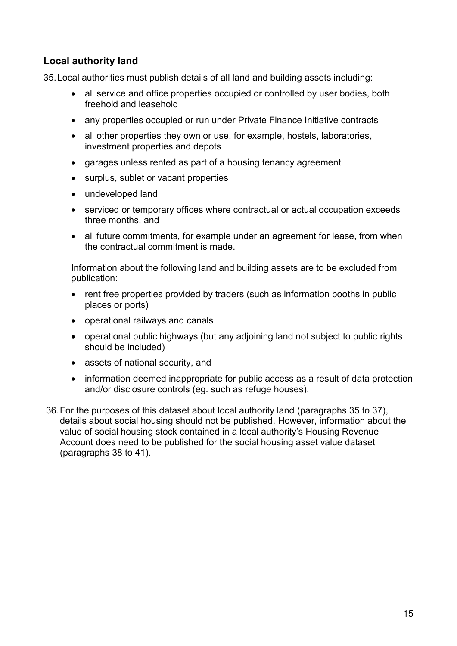### **Local authority land**

35.Local authorities must publish details of all land and building assets including:

- all service and office properties occupied or controlled by user bodies, both freehold and leasehold
- any properties occupied or run under Private Finance Initiative contracts
- all other properties they own or use, for example, hostels, laboratories, investment properties and depots
- garages unless rented as part of a housing tenancy agreement
- surplus, sublet or vacant properties
- undeveloped land
- serviced or temporary offices where contractual or actual occupation exceeds three months, and
- all future commitments, for example under an agreement for lease, from when the contractual commitment is made.

Information about the following land and building assets are to be excluded from publication:

- rent free properties provided by traders (such as information booths in public places or ports)
- operational railways and canals
- operational public highways (but any adjoining land not subject to public rights should be included)
- assets of national security, and
- information deemed inappropriate for public access as a result of data protection and/or disclosure controls (eg. such as refuge houses).
- 36.For the purposes of this dataset about local authority land (paragraphs 35 to 37), details about social housing should not be published. However, information about the value of social housing stock contained in a local authority's Housing Revenue Account does need to be published for the social housing asset value dataset (paragraphs 38 to 41).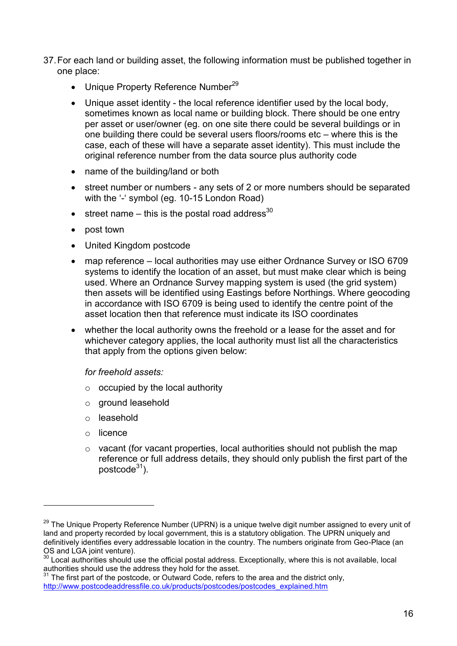- 37.For each land or building asset, the following information must be published together in one place:
	- Unique Property Reference Number<sup>29</sup>
	- Unique asset identity the local reference identifier used by the local body, sometimes known as local name or building block. There should be one entry per asset or user/owner (eg. on one site there could be several buildings or in one building there could be several users floors/rooms etc – where this is the case, each of these will have a separate asset identity). This must include the original reference number from the data source plus authority code
	- name of the building/land or both
	- street number or numbers any sets of 2 or more numbers should be separated with the '-' symbol (eg. 10-15 London Road)
	- $\bullet$  street name this is the postal road address<sup>30</sup>
	- post town
	- United Kingdom postcode
	- map reference local authorities may use either Ordnance Survey or ISO 6709 systems to identify the location of an asset, but must make clear which is being used. Where an Ordnance Survey mapping system is used (the grid system) then assets will be identified using Eastings before Northings. Where geocoding in accordance with ISO 6709 is being used to identify the centre point of the asset location then that reference must indicate its ISO coordinates
	- whether the local authority owns the freehold or a lease for the asset and for whichever category applies, the local authority must list all the characteristics that apply from the options given below:

*for freehold assets:*

- $\circ$  occupied by the local authority
- o ground leasehold
- o leasehold
- o licence

1

o vacant (for vacant properties, local authorities should not publish the map reference or full address details, they should only publish the first part of the postcode $31$ ).

<sup>&</sup>lt;sup>29</sup> The Unique Property Reference Number (UPRN) is a unique twelve digit number assigned to every unit of land and property recorded by local government, this is a statutory obligation. The UPRN uniquely and definitively identifies every addressable location in the country. The numbers originate from Geo-Place (an OS and LGA joint venture).

<sup>30</sup> Local authorities should use the official postal address. Exceptionally, where this is not available, local authorities should use the address they hold for the asset.

 $31$  The first part of the postcode, or Outward Code, refers to the area and the district only, [http://www.postcodeaddressfile.co.uk/products/postcodes/postcodes\\_explained.htm](http://www.postcodeaddressfile.co.uk/products/postcodes/postcodes_explained.htm)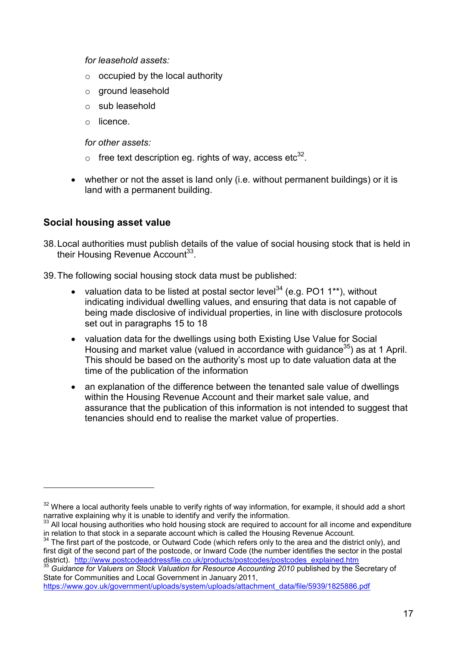*for leasehold assets:*

- $\circ$  occupied by the local authority
- o ground leasehold
- o sub leasehold
- o licence.

*for other assets:*

- $\circ$  free text description eg. rights of way, access etc<sup>32</sup>.
- whether or not the asset is land only (i.e. without permanent buildings) or it is land with a permanent building.

#### **Social housing asset value**

- 38.Local authorities must publish details of the value of social housing stock that is held in their Housing Revenue Account<sup>33</sup>.
- 39.The following social housing stock data must be published:
	- valuation data to be listed at postal sector level<sup>34</sup> (e.g. PO1 1<sup>\*\*</sup>), without indicating individual dwelling values, and ensuring that data is not capable of being made disclosive of individual properties, in line with disclosure protocols set out in paragraphs 15 to 18
	- valuation data for the dwellings using both Existing Use Value for Social Housing and market value (valued in accordance with quidance  $35$ ) as at 1 April. This should be based on the authority's most up to date valuation data at the time of the publication of the information
	- an explanation of the difference between the tenanted sale value of dwellings within the Housing Revenue Account and their market sale value, and assurance that the publication of this information is not intended to suggest that tenancies should end to realise the market value of properties.

 $32$  Where a local authority feels unable to verify rights of way information, for example, it should add a short narrative explaining why it is unable to identify and verify the information.

<sup>&</sup>lt;sup>33</sup> All local housing authorities who hold housing stock are required to account for all income and expenditure in relation to that stock in a separate account which is called the Housing Revenue Account.

 $34$  The first part of the postcode, or Outward Code (which refers only to the area and the district only), and first digit of the second part of the postcode, or Inward Code (the number identifies the sector in the postal district). [http://www.postcodeaddressfile.co.uk/products/postcodes/postcodes\\_explained.htm](http://www.postcodeaddressfile.co.uk/products/postcodes/postcodes_explained.htm)

<sup>&</sup>lt;sup>35</sup> Guidance for Valuers on Stock Valuation for Resource Accounting 2010 published by the Secretary of State for Communities and Local Government in January 2011,

[https://www.gov.uk/government/uploads/system/uploads/attachment\\_data/file/5939/1825886.pdf](https://www.gov.uk/government/uploads/system/uploads/attachment_data/file/5939/1825886.pdf)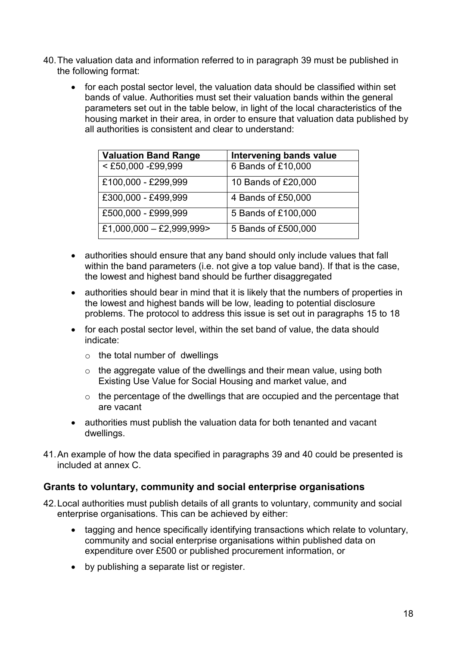- 40.The valuation data and information referred to in paragraph 39 must be published in the following format:
	- for each postal sector level, the valuation data should be classified within set bands of value. Authorities must set their valuation bands within the general parameters set out in the table below, in light of the local characteristics of the housing market in their area, in order to ensure that valuation data published by all authorities is consistent and clear to understand:

| <b>Valuation Band Range</b> | <b>Intervening bands value</b> |
|-----------------------------|--------------------------------|
| <£50,000 -£99,999           | 6 Bands of £10,000             |
| £100,000 - £299,999         | 10 Bands of £20,000            |
| £300,000 - £499,999         | 4 Bands of £50,000             |
| £500,000 - £999,999         | 5 Bands of £100,000            |
| £1,000,000 - £2,999,999>    | 5 Bands of £500,000            |

- authorities should ensure that any band should only include values that fall within the band parameters (i.e. not give a top value band). If that is the case, the lowest and highest band should be further disaggregated
- authorities should bear in mind that it is likely that the numbers of properties in the lowest and highest bands will be low, leading to potential disclosure problems. The protocol to address this issue is set out in paragraphs 15 to 18
- for each postal sector level, within the set band of value, the data should indicate:
	- $\circ$  the total number of dwellings
	- $\circ$  the aggregate value of the dwellings and their mean value, using both Existing Use Value for Social Housing and market value, and
	- o the percentage of the dwellings that are occupied and the percentage that are vacant
- authorities must publish the valuation data for both tenanted and vacant dwellings.
- 41.An example of how the data specified in paragraphs 39 and 40 could be presented is included at annex C.

### **Grants to voluntary, community and social enterprise organisations**

- 42.Local authorities must publish details of all grants to voluntary, community and social enterprise organisations. This can be achieved by either:
	- tagging and hence specifically identifying transactions which relate to voluntary, community and social enterprise organisations within published data on expenditure over £500 or published procurement information, or
	- by publishing a separate list or register.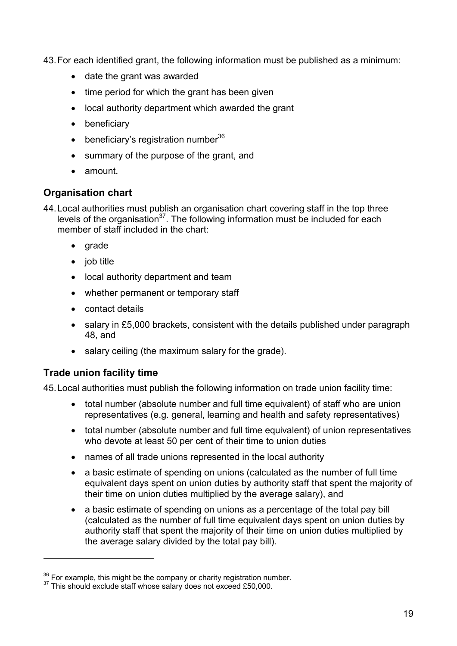43.For each identified grant, the following information must be published as a minimum:

- date the grant was awarded
- $\bullet$  time period for which the grant has been given
- local authority department which awarded the grant
- beneficiary
- $\bullet$  beneficiary's registration number<sup>36</sup>
- summary of the purpose of the grant, and
- amount.

### **Organisation chart**

44.Local authorities must publish an organisation chart covering staff in the top three levels of the organisation $37$ . The following information must be included for each member of staff included in the chart:

- $\bullet$  arade
- $\bullet$  job title
- local authority department and team
- whether permanent or temporary staff
- contact details
- salary in £5,000 brackets, consistent with the details published under paragraph 48, and
- salary ceiling (the maximum salary for the grade).

### **Trade union facility time**

1

45.Local authorities must publish the following information on trade union facility time:

- total number (absolute number and full time equivalent) of staff who are union representatives (e.g. general, learning and health and safety representatives)
- total number (absolute number and full time equivalent) of union representatives who devote at least 50 per cent of their time to union duties
- names of all trade unions represented in the local authority
- a basic estimate of spending on unions (calculated as the number of full time equivalent days spent on union duties by authority staff that spent the majority of their time on union duties multiplied by the average salary), and
- a basic estimate of spending on unions as a percentage of the total pay bill (calculated as the number of full time equivalent days spent on union duties by authority staff that spent the majority of their time on union duties multiplied by the average salary divided by the total pay bill).

<sup>&</sup>lt;sup>36</sup> For example, this might be the company or charity registration number.

<sup>&</sup>lt;sup>37</sup> This should exclude staff whose salary does not exceed £50,000.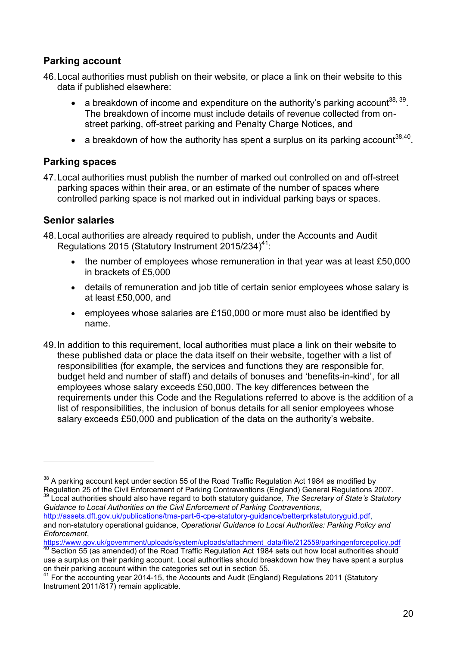### **Parking account**

- 46.Local authorities must publish on their website, or place a link on their website to this data if published elsewhere:
	- a breakdown of income and expenditure on the authority's parking account<sup>38, 39</sup>. The breakdown of income must include details of revenue collected from onstreet parking, off-street parking and Penalty Charge Notices, and
	- a breakdown of how the authority has spent a surplus on its parking account<sup>38,40</sup>.

#### **Parking spaces**

47.Local authorities must publish the number of marked out controlled on and off-street parking spaces within their area, or an estimate of the number of spaces where controlled parking space is not marked out in individual parking bays or spaces.

#### **Senior salaries**

1

- 48.Local authorities are already required to publish, under the Accounts and Audit Regulations 2015 (Statutory Instrument 2015/234)<sup>41</sup>:
	- the number of employees whose remuneration in that year was at least £50,000 in brackets of £5,000
	- details of remuneration and job title of certain senior employees whose salary is at least £50,000, and
	- employees whose salaries are £150,000 or more must also be identified by name.
- 49.In addition to this requirement, local authorities must place a link on their website to these published data or place the data itself on their website, together with a list of responsibilities (for example, the services and functions they are responsible for, budget held and number of staff) and details of bonuses and 'benefits-in-kind', for all employees whose salary exceeds £50,000. The key differences between the requirements under this Code and the Regulations referred to above is the addition of a list of responsibilities, the inclusion of bonus details for all senior employees whose salary exceeds £50,000 and publication of the data on the authority's website.

[https://www.gov.uk/government/uploads/system/uploads/attachment\\_data/file/212559/parkingenforcepolicy.pdf](https://www.gov.uk/government/uploads/system/uploads/attachment_data/file/212559/parkingenforcepolicy.pdf)

 $38$  A parking account kept under section 55 of the Road Traffic Regulation Act 1984 as modified by Regulation 25 of the Civil Enforcement of Parking Contraventions (England) General Regulations 2007. <sup>39</sup> Local authorities should also have regard to both statutory guidance*, The Secretary of State's Statutory* 

*Guidance to Local Authorities on the Civil Enforcement of Parking Contraventions*, [http://assets.dft.gov.uk/publications/tma-part-6-cpe-statutory-guidance/betterprkstatutoryguid.pdf,](http://assets.dft.gov.uk/publications/tma-part-6-cpe-statutory-guidance/betterprkstatutoryguid.pdf) and non-statutory operational guidance, *Operational Guidance to Local Authorities: Parking Policy and Enforcement*,

 $40$  Section 55 (as amended) of the Road Traffic Regulation Act 1984 sets out how local authorities should use a surplus on their parking account. Local authorities should breakdown how they have spent a surplus on their parking account within the categories set out in section 55.

<sup>&</sup>lt;sup>41</sup> For the accounting year 2014-15, the Accounts and Audit (England) Regulations 2011 (Statutory Instrument 2011/817) remain applicable.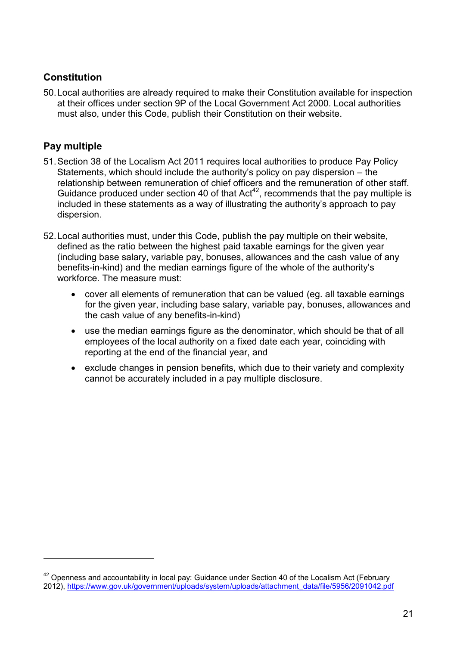### **Constitution**

50.Local authorities are already required to make their Constitution available for inspection at their offices under section 9P of the Local Government Act 2000. Local authorities must also, under this Code, publish their Constitution on their website.

## **Pay multiple**

- 51.Section 38 of the Localism Act 2011 requires local authorities to produce Pay Policy Statements, which should include the authority's policy on pay dispersion – the relationship between remuneration of chief officers and the remuneration of other staff. Guidance produced under section 40 of that  $Act^{42}$ , recommends that the pay multiple is included in these statements as a way of illustrating the authority's approach to pay dispersion.
- 52.Local authorities must, under this Code, publish the pay multiple on their website, defined as the ratio between the highest paid taxable earnings for the given year (including base salary, variable pay, bonuses, allowances and the cash value of any benefits-in-kind) and the median earnings figure of the whole of the authority's workforce. The measure must:
	- cover all elements of remuneration that can be valued (eg. all taxable earnings for the given year, including base salary, variable pay, bonuses, allowances and the cash value of any benefits-in-kind)
	- use the median earnings figure as the denominator, which should be that of all employees of the local authority on a fixed date each year, coinciding with reporting at the end of the financial year, and
	- exclude changes in pension benefits, which due to their variety and complexity cannot be accurately included in a pay multiple disclosure.

 $42$  Openness and accountability in local pay: Guidance under Section 40 of the Localism Act (February 2012), [https://www.gov.uk/government/uploads/system/uploads/attachment\\_data/file/5956/2091042.pdf](https://www.gov.uk/government/uploads/system/uploads/attachment_data/file/5956/2091042.pdf)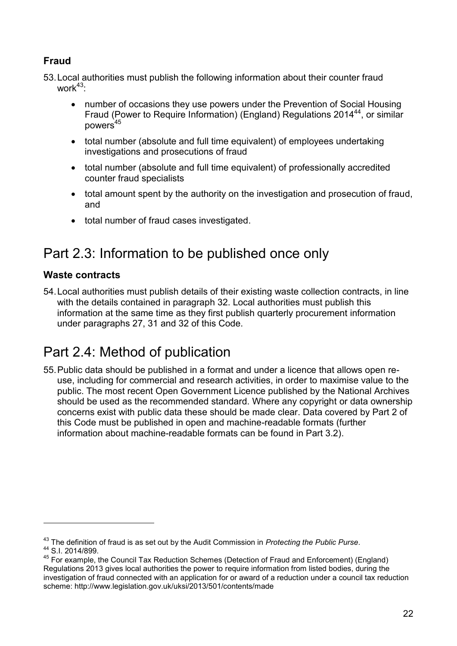## **Fraud**

53.Local authorities must publish the following information about their counter fraud work $43$ .

- number of occasions they use powers under the Prevention of Social Housing Fraud (Power to Require Information) (England) Regulations 2014<sup>44</sup>, or similar  $nowers<sup>45</sup>$
- total number (absolute and full time equivalent) of employees undertaking investigations and prosecutions of fraud
- total number (absolute and full time equivalent) of professionally accredited counter fraud specialists
- total amount spent by the authority on the investigation and prosecution of fraud, and
- total number of fraud cases investigated.

# Part 2.3: Information to be published once only

### **Waste contracts**

 $\overline{a}$ 

54.Local authorities must publish details of their existing waste collection contracts, in line with the details contained in paragraph 32. Local authorities must publish this information at the same time as they first publish quarterly procurement information under paragraphs 27, 31 and 32 of this Code.

# Part 2.4: Method of publication

55.Public data should be published in a format and under a licence that allows open reuse, including for commercial and research activities, in order to maximise value to the public. The most recent Open Government Licence published by the National Archives should be used as the recommended standard. Where any copyright or data ownership concerns exist with public data these should be made clear. Data covered by Part 2 of this Code must be published in open and machine-readable formats (further information about machine-readable formats can be found in Part 3.2).

<sup>43</sup> The definition of fraud is as set out by the Audit Commission in *Protecting the Public Purse*. <sup>44</sup> S.I. 2014/899.

<sup>45</sup> For example, the Council Tax Reduction Schemes (Detection of Fraud and Enforcement) (England) Regulations 2013 gives local authorities the power to require information from listed bodies, during the investigation of fraud connected with an application for or award of a reduction under a council tax reduction scheme: <http://www.legislation.gov.uk/uksi/2013/501/contents/made>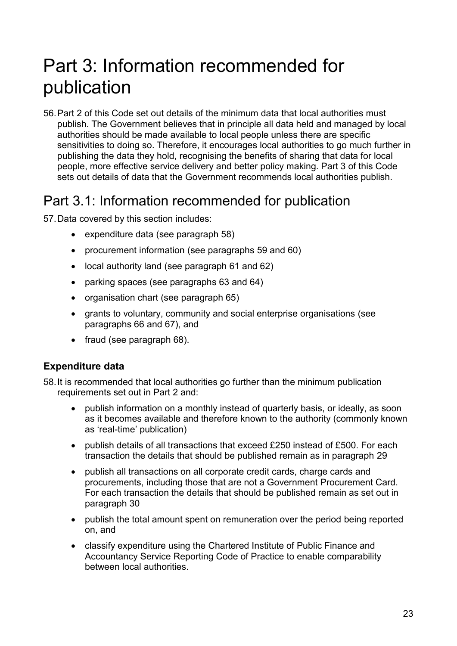# Part 3: Information recommended for publication

56.Part 2 of this Code set out details of the minimum data that local authorities must publish. The Government believes that in principle all data held and managed by local authorities should be made available to local people unless there are specific sensitivities to doing so. Therefore, it encourages local authorities to go much further in publishing the data they hold, recognising the benefits of sharing that data for local people, more effective service delivery and better policy making. Part 3 of this Code sets out details of data that the Government recommends local authorities publish.

## Part 3.1: Information recommended for publication

57.Data covered by this section includes:

- expenditure data (see paragraph 58)
- procurement information (see paragraphs 59 and 60)
- local authority land (see paragraph 61 and 62)
- parking spaces (see paragraphs 63 and 64)
- organisation chart (see paragraph 65)
- grants to voluntary, community and social enterprise organisations (see paragraphs 66 and 67), and
- $\bullet$  fraud (see paragraph 68).

#### **Expenditure data**

58.It is recommended that local authorities go further than the minimum publication requirements set out in Part 2 and:

- publish information on a monthly instead of quarterly basis, or ideally, as soon as it becomes available and therefore known to the authority (commonly known as 'real-time' publication)
- publish details of all transactions that exceed £250 instead of £500. For each transaction the details that should be published remain as in paragraph 29
- publish all transactions on all corporate credit cards, charge cards and procurements, including those that are not a Government Procurement Card. For each transaction the details that should be published remain as set out in paragraph 30
- publish the total amount spent on remuneration over the period being reported on, and
- classify expenditure using the Chartered Institute of Public Finance and Accountancy Service Reporting Code of Practice to enable comparability between local authorities.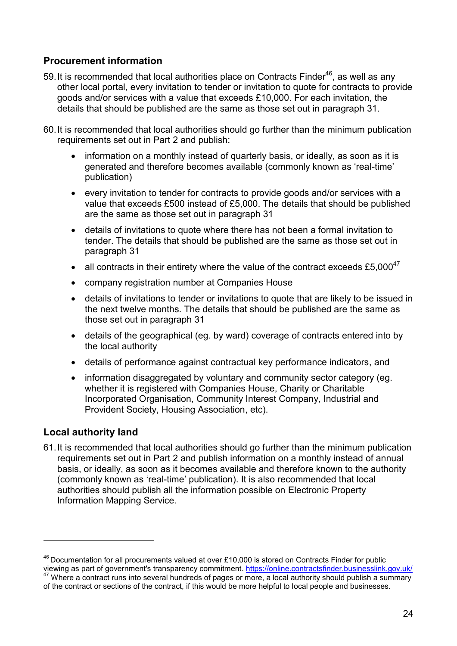### **Procurement information**

- 59. It is recommended that local authorities place on Contracts Finder<sup>46</sup>, as well as any other local portal, every invitation to tender or invitation to quote for contracts to provide goods and/or services with a value that exceeds £10,000. For each invitation, the details that should be published are the same as those set out in paragraph 31.
- 60.It is recommended that local authorities should go further than the minimum publication requirements set out in Part 2 and publish:
	- information on a monthly instead of quarterly basis, or ideally, as soon as it is generated and therefore becomes available (commonly known as 'real-time' publication)
	- every invitation to tender for contracts to provide goods and/or services with a value that exceeds £500 instead of £5,000. The details that should be published are the same as those set out in paragraph 31
	- details of invitations to quote where there has not been a formal invitation to tender. The details that should be published are the same as those set out in paragraph 31
	- all contracts in their entirety where the value of the contract exceeds £5.000 $^{47}$
	- company registration number at Companies House
	- details of invitations to tender or invitations to quote that are likely to be issued in the next twelve months. The details that should be published are the same as those set out in paragraph 31
	- details of the geographical (eg. by ward) coverage of contracts entered into by the local authority
	- details of performance against contractual key performance indicators, and
	- information disaggregated by voluntary and community sector category (eg. whether it is registered with Companies House, Charity or Charitable Incorporated Organisation, Community Interest Company, Industrial and Provident Society, Housing Association, etc).

### **Local authority land**

1

61.It is recommended that local authorities should go further than the minimum publication requirements set out in Part 2 and publish information on a monthly instead of annual basis, or ideally, as soon as it becomes available and therefore known to the authority (commonly known as 'real-time' publication). It is also recommended that local authorities should publish all the information possible on Electronic Property Information Mapping Service.

 $46$  Documentation for all procurements valued at over £10,000 is stored on Contracts Finder for public viewing as part of government's transparency commitment.<https://online.contractsfinder.businesslink.gov.uk/> <sup>47</sup> Where a contract runs into several hundreds of pages or more, a local authority should publish a summary

of the contract or sections of the contract, if this would be more helpful to local people and businesses.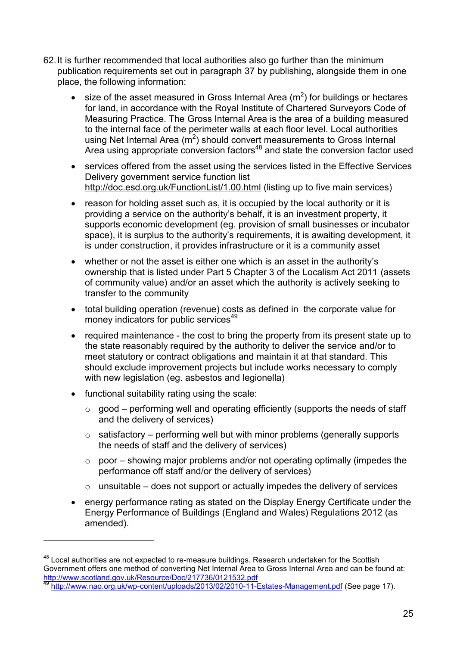- 62.It is further recommended that local authorities also go further than the minimum publication requirements set out in paragraph 37 by publishing, alongside them in one place, the following information:
	- size of the asset measured in Gross Internal Area  $(m^2)$  for buildings or hectares for land, in accordance with the Royal Institute of Chartered Surveyors Code of Measuring Practice. The Gross Internal Area is the area of a building measured to the internal face of the perimeter walls at each floor level. Local authorities using Net Internal Area  $(m^2)$  should convert measurements to Gross Internal Area using appropriate conversion factors<sup>48</sup> and state the conversion factor used
	- services offered from the asset using the services listed in the Effective Services Delivery government service function list <http://doc.esd.org.uk/FunctionList/1.00.html> (listing up to five main services)
	- reason for holding asset such as, it is occupied by the local authority or it is providing a service on the authority's behalf, it is an investment property, it supports economic development (eg. provision of small businesses or incubator space), it is surplus to the authority's requirements, it is awaiting development, it is under construction, it provides infrastructure or it is a community asset
	- whether or not the asset is either one which is an asset in the authority's ownership that is listed under Part 5 Chapter 3 of the Localism Act 2011 (assets of community value) and/or an asset which the authority is actively seeking to transfer to the community
	- total building operation (revenue) costs as defined in the corporate value for money indicators for public services<sup>49</sup>
	- required maintenance the cost to bring the property from its present state up to the state reasonably required by the authority to deliver the service and/or to meet statutory or contract obligations and maintain it at that standard. This should exclude improvement projects but include works necessary to comply with new legislation (eg. asbestos and legionella)
	- functional suitability rating using the scale:

- $\circ$  good performing well and operating efficiently (supports the needs of staff and the delivery of services)
- $\circ$  satisfactory performing well but with minor problems (generally supports the needs of staff and the delivery of services)
- $\circ$  poor showing major problems and/or not operating optimally (impedes the performance off staff and/or the delivery of services)
- $\circ$  unsuitable does not support or actually impedes the delivery of services
- energy performance rating as stated on the Display Energy Certificate under the Energy Performance of Buildings (England and Wales) Regulations 2012 (as amended).

<sup>&</sup>lt;sup>48</sup> Local authorities are not expected to re-measure buildings. Research undertaken for the Scottish Government offers one method of converting Net Internal Area to Gross Internal Area and can be found at: <http://www.scotland.gov.uk/Resource/Doc/217736/0121532.pdf>

<http://www.nao.org.uk/wp-content/uploads/2013/02/2010-11-Estates-Management.pdf> (See page 17).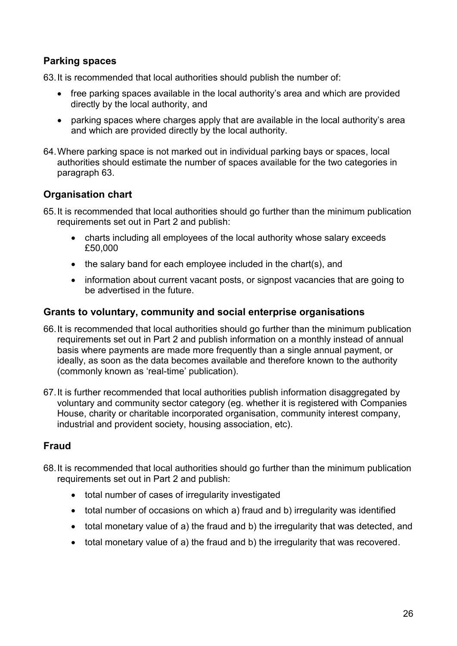### **Parking spaces**

63.It is recommended that local authorities should publish the number of:

- free parking spaces available in the local authority's area and which are provided directly by the local authority, and
- parking spaces where charges apply that are available in the local authority's area and which are provided directly by the local authority.
- 64.Where parking space is not marked out in individual parking bays or spaces, local authorities should estimate the number of spaces available for the two categories in paragraph 63.

### **Organisation chart**

- 65.It is recommended that local authorities should go further than the minimum publication requirements set out in Part 2 and publish:
	- charts including all employees of the local authority whose salary exceeds £50,000
	- the salary band for each employee included in the chart(s), and
	- information about current vacant posts, or signpost vacancies that are going to be advertised in the future.

#### **Grants to voluntary, community and social enterprise organisations**

- 66.It is recommended that local authorities should go further than the minimum publication requirements set out in Part 2 and publish information on a monthly instead of annual basis where payments are made more frequently than a single annual payment, or ideally, as soon as the data becomes available and therefore known to the authority (commonly known as 'real-time' publication).
- 67.It is further recommended that local authorities publish information disaggregated by voluntary and community sector category (eg. whether it is registered with Companies House, charity or charitable incorporated organisation, community interest company, industrial and provident society, housing association, etc).

### **Fraud**

- 68.It is recommended that local authorities should go further than the minimum publication requirements set out in Part 2 and publish:
	- total number of cases of irregularity investigated
	- total number of occasions on which a) fraud and b) irregularity was identified
	- total monetary value of a) the fraud and b) the irregularity that was detected, and
	- total monetary value of a) the fraud and b) the irregularity that was recovered.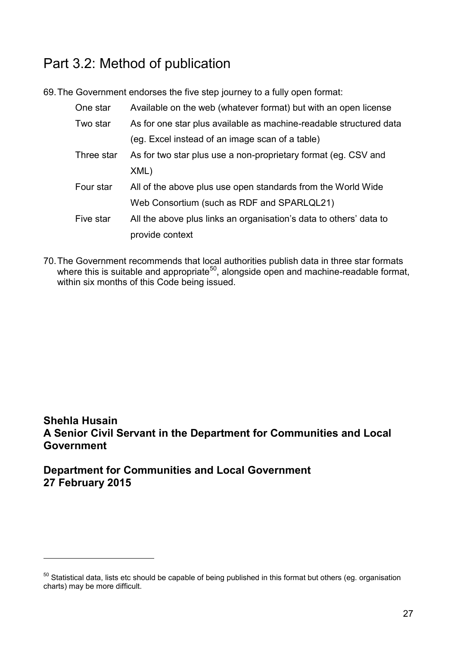# Part 3.2: Method of publication

69.The Government endorses the five step journey to a fully open format:

| One star   | Available on the web (whatever format) but with an open license    |
|------------|--------------------------------------------------------------------|
| Two star   | As for one star plus available as machine-readable structured data |
|            | (eg. Excel instead of an image scan of a table)                    |
| Three star | As for two star plus use a non-proprietary format (eg. CSV and     |
|            | XML)                                                               |
| Four star  | All of the above plus use open standards from the World Wide       |
|            | Web Consortium (such as RDF and SPARLQL21)                         |
| Five star  | All the above plus links an organisation's data to others' data to |
|            | provide context                                                    |

70.The Government recommends that local authorities publish data in three star formats where this is suitable and appropriate<sup>50</sup>, alongside open and machine-readable format, within six months of this Code being issued.

## **Shehla Husain A Senior Civil Servant in the Department for Communities and Local Government**

**Department for Communities and Local Government 27 February 2015**

 $50$  Statistical data, lists etc should be capable of being published in this format but others (eg. organisation charts) may be more difficult.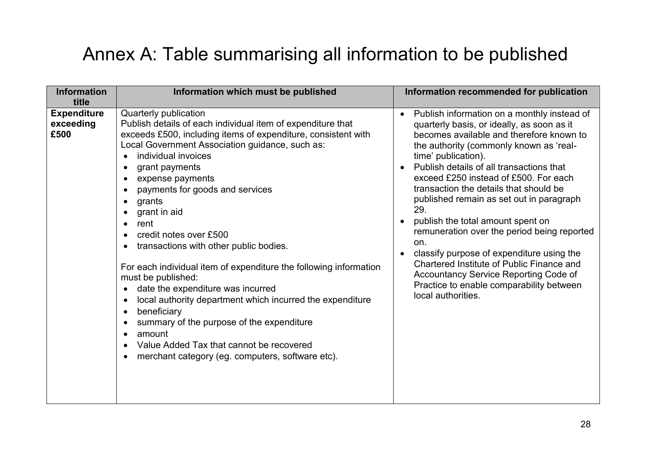# Annex A: Table summarising all information to be published

| <b>Information</b><br>title             | Information which must be published                                                                                                                                                                                                                                                                                                                                                                                                                                                                                                                                                                                                                                                                                                                                                                                                                             | Information recommended for publication                                                                                                                                                                                                                                                                                                                                                                                                                                                                                                                                                                                                                                                                             |
|-----------------------------------------|-----------------------------------------------------------------------------------------------------------------------------------------------------------------------------------------------------------------------------------------------------------------------------------------------------------------------------------------------------------------------------------------------------------------------------------------------------------------------------------------------------------------------------------------------------------------------------------------------------------------------------------------------------------------------------------------------------------------------------------------------------------------------------------------------------------------------------------------------------------------|---------------------------------------------------------------------------------------------------------------------------------------------------------------------------------------------------------------------------------------------------------------------------------------------------------------------------------------------------------------------------------------------------------------------------------------------------------------------------------------------------------------------------------------------------------------------------------------------------------------------------------------------------------------------------------------------------------------------|
| <b>Expenditure</b><br>exceeding<br>£500 | Quarterly publication<br>Publish details of each individual item of expenditure that<br>exceeds £500, including items of expenditure, consistent with<br>Local Government Association guidance, such as:<br>individual invoices<br>grant payments<br>expense payments<br>payments for goods and services<br>grants<br>$\bullet$<br>grant in aid<br>rent<br>$\bullet$<br>credit notes over £500<br>transactions with other public bodies.<br>For each individual item of expenditure the following information<br>must be published:<br>date the expenditure was incurred<br>$\bullet$<br>local authority department which incurred the expenditure<br>$\bullet$<br>beneficiary<br>$\bullet$<br>summary of the purpose of the expenditure<br>$\bullet$<br>amount<br>Value Added Tax that cannot be recovered<br>merchant category (eg. computers, software etc). | Publish information on a monthly instead of<br>$\bullet$<br>quarterly basis, or ideally, as soon as it<br>becomes available and therefore known to<br>the authority (commonly known as 'real-<br>time' publication).<br>Publish details of all transactions that<br>exceed £250 instead of £500. For each<br>transaction the details that should be<br>published remain as set out in paragraph<br>29.<br>publish the total amount spent on<br>remuneration over the period being reported<br>on.<br>classify purpose of expenditure using the<br>$\bullet$<br>Chartered Institute of Public Finance and<br>Accountancy Service Reporting Code of<br>Practice to enable comparability between<br>local authorities. |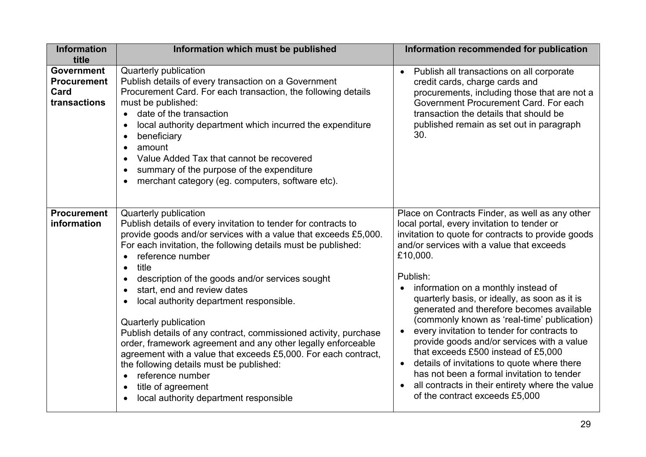| Publish all transactions on all corporate<br>credit cards, charge cards and<br>procurements, including those that are not a                                                                                                                                                                                                                                                                                                                                                                                                                                                                                                                                               |
|---------------------------------------------------------------------------------------------------------------------------------------------------------------------------------------------------------------------------------------------------------------------------------------------------------------------------------------------------------------------------------------------------------------------------------------------------------------------------------------------------------------------------------------------------------------------------------------------------------------------------------------------------------------------------|
| Government Procurement Card. For each<br>transaction the details that should be<br>published remain as set out in paragraph                                                                                                                                                                                                                                                                                                                                                                                                                                                                                                                                               |
| Place on Contracts Finder, as well as any other<br>local portal, every invitation to tender or<br>invitation to quote for contracts to provide goods<br>and/or services with a value that exceeds<br>information on a monthly instead of<br>quarterly basis, or ideally, as soon as it is<br>generated and therefore becomes available<br>(commonly known as 'real-time' publication)<br>every invitation to tender for contracts to<br>provide goods and/or services with a value<br>that exceeds £500 instead of £5,000<br>details of invitations to quote where there<br>has not been a formal invitation to tender<br>all contracts in their entirety where the value |
| of the contract exceeds £5,000                                                                                                                                                                                                                                                                                                                                                                                                                                                                                                                                                                                                                                            |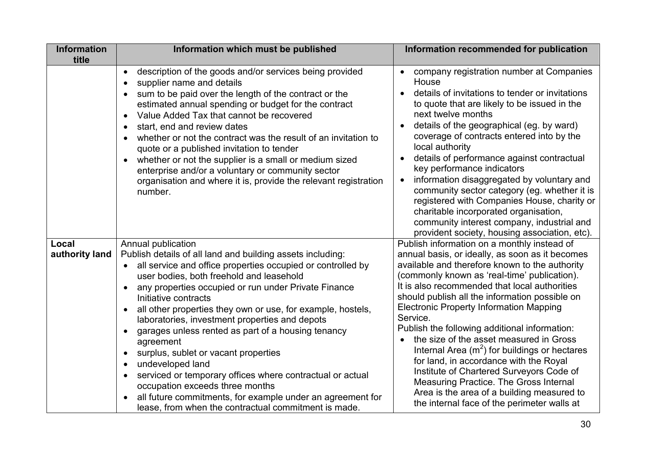| <b>Information</b><br>title | Information which must be published                                                                                                                                                                                                                                                                                                                                                                                                                                                                                                                                                                                                                                                                                                                            | Information recommended for publication                                                                                                                                                                                                                                                                                                                                                                                                                                                                                                                                                                                                                                                                                                       |
|-----------------------------|----------------------------------------------------------------------------------------------------------------------------------------------------------------------------------------------------------------------------------------------------------------------------------------------------------------------------------------------------------------------------------------------------------------------------------------------------------------------------------------------------------------------------------------------------------------------------------------------------------------------------------------------------------------------------------------------------------------------------------------------------------------|-----------------------------------------------------------------------------------------------------------------------------------------------------------------------------------------------------------------------------------------------------------------------------------------------------------------------------------------------------------------------------------------------------------------------------------------------------------------------------------------------------------------------------------------------------------------------------------------------------------------------------------------------------------------------------------------------------------------------------------------------|
|                             | description of the goods and/or services being provided<br>$\bullet$<br>supplier name and details<br>sum to be paid over the length of the contract or the<br>estimated annual spending or budget for the contract<br>Value Added Tax that cannot be recovered<br>$\bullet$<br>start, end and review dates<br>whether or not the contract was the result of an invitation to<br>quote or a published invitation to tender<br>whether or not the supplier is a small or medium sized<br>enterprise and/or a voluntary or community sector<br>organisation and where it is, provide the relevant registration<br>number.                                                                                                                                         | company registration number at Companies<br>$\bullet$<br>House<br>details of invitations to tender or invitations<br>to quote that are likely to be issued in the<br>next twelve months<br>details of the geographical (eg. by ward)<br>coverage of contracts entered into by the<br>local authority<br>details of performance against contractual<br>$\bullet$<br>key performance indicators<br>information disaggregated by voluntary and<br>$\bullet$<br>community sector category (eg. whether it is<br>registered with Companies House, charity or<br>charitable incorporated organisation,<br>community interest company, industrial and<br>provident society, housing association, etc).                                               |
| Local<br>authority land     | Annual publication<br>Publish details of all land and building assets including:<br>all service and office properties occupied or controlled by<br>user bodies, both freehold and leasehold<br>any properties occupied or run under Private Finance<br>$\bullet$<br>Initiative contracts<br>all other properties they own or use, for example, hostels,<br>laboratories, investment properties and depots<br>garages unless rented as part of a housing tenancy<br>agreement<br>surplus, sublet or vacant properties<br>undeveloped land<br>serviced or temporary offices where contractual or actual<br>occupation exceeds three months<br>all future commitments, for example under an agreement for<br>lease, from when the contractual commitment is made. | Publish information on a monthly instead of<br>annual basis, or ideally, as soon as it becomes<br>available and therefore known to the authority<br>(commonly known as 'real-time' publication).<br>It is also recommended that local authorities<br>should publish all the information possible on<br><b>Electronic Property Information Mapping</b><br>Service.<br>Publish the following additional information:<br>the size of the asset measured in Gross<br>Internal Area $(m^2)$ for buildings or hectares<br>for land, in accordance with the Royal<br>Institute of Chartered Surveyors Code of<br>Measuring Practice. The Gross Internal<br>Area is the area of a building measured to<br>the internal face of the perimeter walls at |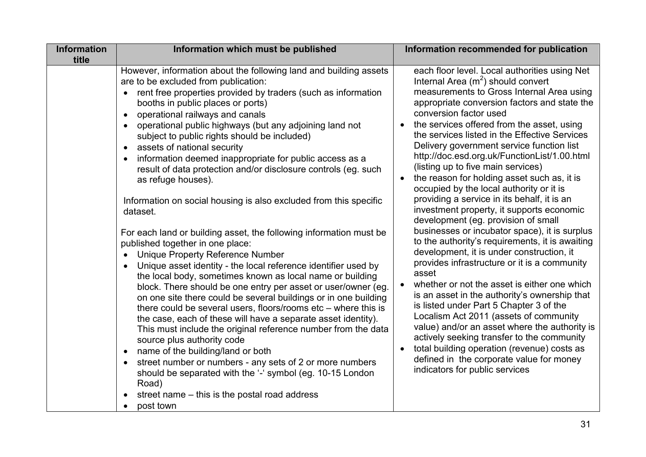| <b>Information</b><br>title | Information which must be published                                                                                                                                                                                                                                                                                                                                                                                                                                                                                                                                                                                                                                                                                                                                                                                                                                                                                                                                                                                                                                                                                                                                                                                                                                                                                                                                                                                                                                                                                                                                      | Information recommended for publication                                                                                                                                                                                                                                                                                                                                                                                                                                                                                                                                                                                                                                                                                                                                                                                                                                                                                                                                                                                                                                                                                                                                                                                                                                                                                            |
|-----------------------------|--------------------------------------------------------------------------------------------------------------------------------------------------------------------------------------------------------------------------------------------------------------------------------------------------------------------------------------------------------------------------------------------------------------------------------------------------------------------------------------------------------------------------------------------------------------------------------------------------------------------------------------------------------------------------------------------------------------------------------------------------------------------------------------------------------------------------------------------------------------------------------------------------------------------------------------------------------------------------------------------------------------------------------------------------------------------------------------------------------------------------------------------------------------------------------------------------------------------------------------------------------------------------------------------------------------------------------------------------------------------------------------------------------------------------------------------------------------------------------------------------------------------------------------------------------------------------|------------------------------------------------------------------------------------------------------------------------------------------------------------------------------------------------------------------------------------------------------------------------------------------------------------------------------------------------------------------------------------------------------------------------------------------------------------------------------------------------------------------------------------------------------------------------------------------------------------------------------------------------------------------------------------------------------------------------------------------------------------------------------------------------------------------------------------------------------------------------------------------------------------------------------------------------------------------------------------------------------------------------------------------------------------------------------------------------------------------------------------------------------------------------------------------------------------------------------------------------------------------------------------------------------------------------------------|
|                             | However, information about the following land and building assets<br>are to be excluded from publication:<br>rent free properties provided by traders (such as information<br>booths in public places or ports)<br>operational railways and canals<br>$\bullet$<br>operational public highways (but any adjoining land not<br>subject to public rights should be included)<br>assets of national security<br>$\bullet$<br>information deemed inappropriate for public access as a<br>result of data protection and/or disclosure controls (eg. such<br>as refuge houses).<br>Information on social housing is also excluded from this specific<br>dataset.<br>For each land or building asset, the following information must be<br>published together in one place:<br><b>Unique Property Reference Number</b><br>Unique asset identity - the local reference identifier used by<br>the local body, sometimes known as local name or building<br>block. There should be one entry per asset or user/owner (eg.<br>on one site there could be several buildings or in one building<br>there could be several users, floors/rooms $etc$ – where this is<br>the case, each of these will have a separate asset identity).<br>This must include the original reference number from the data<br>source plus authority code<br>name of the building/land or both<br>$\bullet$<br>street number or numbers - any sets of 2 or more numbers<br>should be separated with the '-' symbol (eg. 10-15 London<br>Road)<br>street name – this is the postal road address<br>post town | each floor level. Local authorities using Net<br>Internal Area $(m^2)$ should convert<br>measurements to Gross Internal Area using<br>appropriate conversion factors and state the<br>conversion factor used<br>the services offered from the asset, using<br>the services listed in the Effective Services<br>Delivery government service function list<br>http://doc.esd.org.uk/FunctionList/1.00.html<br>(listing up to five main services)<br>the reason for holding asset such as, it is<br>$\bullet$<br>occupied by the local authority or it is<br>providing a service in its behalf, it is an<br>investment property, it supports economic<br>development (eg. provision of small<br>businesses or incubator space), it is surplus<br>to the authority's requirements, it is awaiting<br>development, it is under construction, it<br>provides infrastructure or it is a community<br>asset<br>whether or not the asset is either one which<br>is an asset in the authority's ownership that<br>is listed under Part 5 Chapter 3 of the<br>Localism Act 2011 (assets of community<br>value) and/or an asset where the authority is<br>actively seeking transfer to the community<br>total building operation (revenue) costs as<br>$\bullet$<br>defined in the corporate value for money<br>indicators for public services |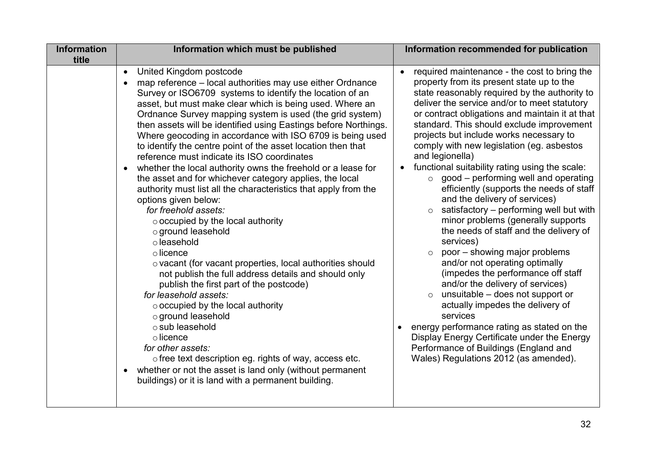| <b>Information</b> | Information which must be published                                                                                                                                                                                                                                                                                                                                                                                                                                                                                                                                                                                                                                                                                                                                                                                                                                                                                                                                                                                                                                                                                                                                                                                                                                                                                                                                               | Information recommended for publication                                                                                                                                                                                                                                                                                                                                                                                                                                                                                                                                                                                                                                                                                                                                                                                                                                                                                                                                                                                                                                                                                                                                            |
|--------------------|-----------------------------------------------------------------------------------------------------------------------------------------------------------------------------------------------------------------------------------------------------------------------------------------------------------------------------------------------------------------------------------------------------------------------------------------------------------------------------------------------------------------------------------------------------------------------------------------------------------------------------------------------------------------------------------------------------------------------------------------------------------------------------------------------------------------------------------------------------------------------------------------------------------------------------------------------------------------------------------------------------------------------------------------------------------------------------------------------------------------------------------------------------------------------------------------------------------------------------------------------------------------------------------------------------------------------------------------------------------------------------------|------------------------------------------------------------------------------------------------------------------------------------------------------------------------------------------------------------------------------------------------------------------------------------------------------------------------------------------------------------------------------------------------------------------------------------------------------------------------------------------------------------------------------------------------------------------------------------------------------------------------------------------------------------------------------------------------------------------------------------------------------------------------------------------------------------------------------------------------------------------------------------------------------------------------------------------------------------------------------------------------------------------------------------------------------------------------------------------------------------------------------------------------------------------------------------|
| title              | United Kingdom postcode<br>$\bullet$<br>map reference – local authorities may use either Ordnance<br>Survey or ISO6709 systems to identify the location of an<br>asset, but must make clear which is being used. Where an<br>Ordnance Survey mapping system is used (the grid system)<br>then assets will be identified using Eastings before Northings.<br>Where geocoding in accordance with ISO 6709 is being used<br>to identify the centre point of the asset location then that<br>reference must indicate its ISO coordinates<br>whether the local authority owns the freehold or a lease for<br>the asset and for whichever category applies, the local<br>authority must list all the characteristics that apply from the<br>options given below:<br>for freehold assets:<br>$\circ$ occupied by the local authority<br>o ground leasehold<br>o leasehold<br>$\circ$ licence<br>o vacant (for vacant properties, local authorities should<br>not publish the full address details and should only<br>publish the first part of the postcode)<br>for leasehold assets:<br>o occupied by the local authority<br>o ground leasehold<br>o sub leasehold<br>$\circ$ licence<br>for other assets:<br>o free text description eg. rights of way, access etc.<br>whether or not the asset is land only (without permanent<br>buildings) or it is land with a permanent building. | required maintenance - the cost to bring the<br>$\bullet$<br>property from its present state up to the<br>state reasonably required by the authority to<br>deliver the service and/or to meet statutory<br>or contract obligations and maintain it at that<br>standard. This should exclude improvement<br>projects but include works necessary to<br>comply with new legislation (eg. asbestos<br>and legionella)<br>functional suitability rating using the scale:<br>good – performing well and operating<br>$\circ$<br>efficiently (supports the needs of staff<br>and the delivery of services)<br>satisfactory – performing well but with<br>minor problems (generally supports<br>the needs of staff and the delivery of<br>services)<br>poor - showing major problems<br>$\circ$<br>and/or not operating optimally<br>(impedes the performance off staff<br>and/or the delivery of services)<br>unsuitable - does not support or<br>$\circ$<br>actually impedes the delivery of<br>services<br>energy performance rating as stated on the<br>Display Energy Certificate under the Energy<br>Performance of Buildings (England and<br>Wales) Regulations 2012 (as amended). |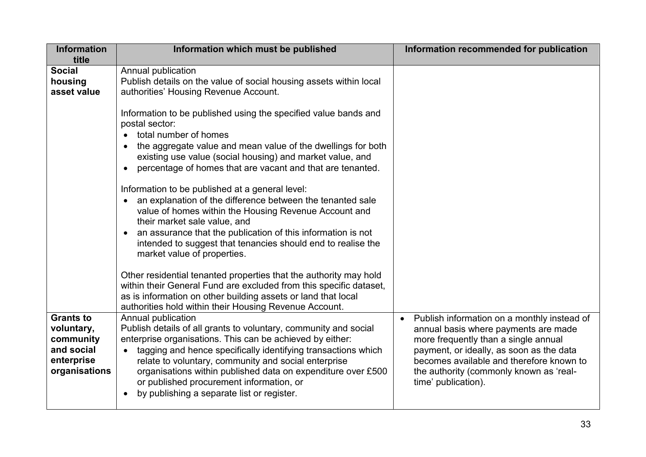| <b>Information</b><br>title                                                              | Information which must be published                                                                                                                                                                                                                                                                                                                                                                                                    | Information recommended for publication                                                                                                                                                                                                                                                            |
|------------------------------------------------------------------------------------------|----------------------------------------------------------------------------------------------------------------------------------------------------------------------------------------------------------------------------------------------------------------------------------------------------------------------------------------------------------------------------------------------------------------------------------------|----------------------------------------------------------------------------------------------------------------------------------------------------------------------------------------------------------------------------------------------------------------------------------------------------|
| <b>Social</b><br>housing<br>asset value                                                  | Annual publication<br>Publish details on the value of social housing assets within local<br>authorities' Housing Revenue Account.                                                                                                                                                                                                                                                                                                      |                                                                                                                                                                                                                                                                                                    |
|                                                                                          | Information to be published using the specified value bands and<br>postal sector:<br>total number of homes<br>the aggregate value and mean value of the dwellings for both<br>existing use value (social housing) and market value, and<br>percentage of homes that are vacant and that are tenanted.                                                                                                                                  |                                                                                                                                                                                                                                                                                                    |
|                                                                                          | Information to be published at a general level:<br>an explanation of the difference between the tenanted sale<br>value of homes within the Housing Revenue Account and<br>their market sale value, and<br>an assurance that the publication of this information is not<br>intended to suggest that tenancies should end to realise the<br>market value of properties.                                                                  |                                                                                                                                                                                                                                                                                                    |
|                                                                                          | Other residential tenanted properties that the authority may hold<br>within their General Fund are excluded from this specific dataset,<br>as is information on other building assets or land that local<br>authorities hold within their Housing Revenue Account.                                                                                                                                                                     |                                                                                                                                                                                                                                                                                                    |
| <b>Grants to</b><br>voluntary,<br>community<br>and social<br>enterprise<br>organisations | Annual publication<br>Publish details of all grants to voluntary, community and social<br>enterprise organisations. This can be achieved by either:<br>tagging and hence specifically identifying transactions which<br>relate to voluntary, community and social enterprise<br>organisations within published data on expenditure over £500<br>or published procurement information, or<br>by publishing a separate list or register. | Publish information on a monthly instead of<br>$\bullet$<br>annual basis where payments are made<br>more frequently than a single annual<br>payment, or ideally, as soon as the data<br>becomes available and therefore known to<br>the authority (commonly known as 'real-<br>time' publication). |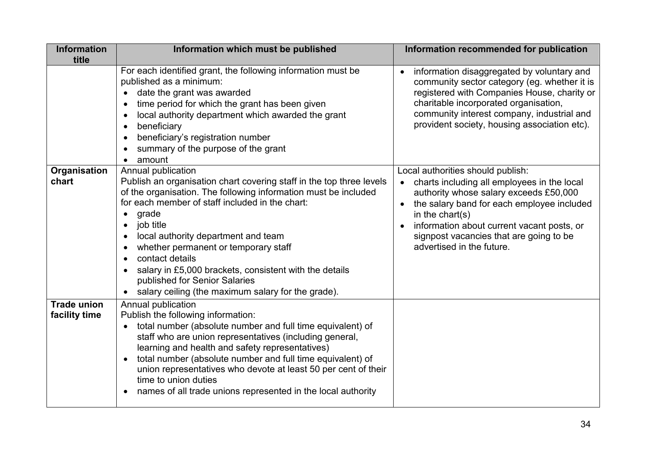| <b>Information</b>                  | Information which must be published                                                                                                                                                                                                                                                                                                                                                                                                                                                       | Information recommended for publication                                                                                                                                                                                                                                                                           |
|-------------------------------------|-------------------------------------------------------------------------------------------------------------------------------------------------------------------------------------------------------------------------------------------------------------------------------------------------------------------------------------------------------------------------------------------------------------------------------------------------------------------------------------------|-------------------------------------------------------------------------------------------------------------------------------------------------------------------------------------------------------------------------------------------------------------------------------------------------------------------|
| title                               |                                                                                                                                                                                                                                                                                                                                                                                                                                                                                           |                                                                                                                                                                                                                                                                                                                   |
|                                     | For each identified grant, the following information must be<br>published as a minimum:<br>date the grant was awarded<br>time period for which the grant has been given<br>local authority department which awarded the grant<br>beneficiary<br>beneficiary's registration number<br>summary of the purpose of the grant<br>amount                                                                                                                                                        | information disaggregated by voluntary and<br>$\bullet$<br>community sector category (eg. whether it is<br>registered with Companies House, charity or<br>charitable incorporated organisation,<br>community interest company, industrial and<br>provident society, housing association etc).                     |
| Organisation<br>chart               | Annual publication<br>Publish an organisation chart covering staff in the top three levels<br>of the organisation. The following information must be included<br>for each member of staff included in the chart:<br>grade<br>job title<br>local authority department and team<br>whether permanent or temporary staff<br>contact details<br>salary in £5,000 brackets, consistent with the details<br>published for Senior Salaries<br>salary ceiling (the maximum salary for the grade). | Local authorities should publish:<br>charts including all employees in the local<br>authority whose salary exceeds £50,000<br>the salary band for each employee included<br>in the chart(s)<br>information about current vacant posts, or<br>signpost vacancies that are going to be<br>advertised in the future. |
| <b>Trade union</b><br>facility time | Annual publication<br>Publish the following information:<br>total number (absolute number and full time equivalent) of<br>staff who are union representatives (including general,<br>learning and health and safety representatives)<br>total number (absolute number and full time equivalent) of<br>union representatives who devote at least 50 per cent of their<br>time to union duties<br>names of all trade unions represented in the local authority                              |                                                                                                                                                                                                                                                                                                                   |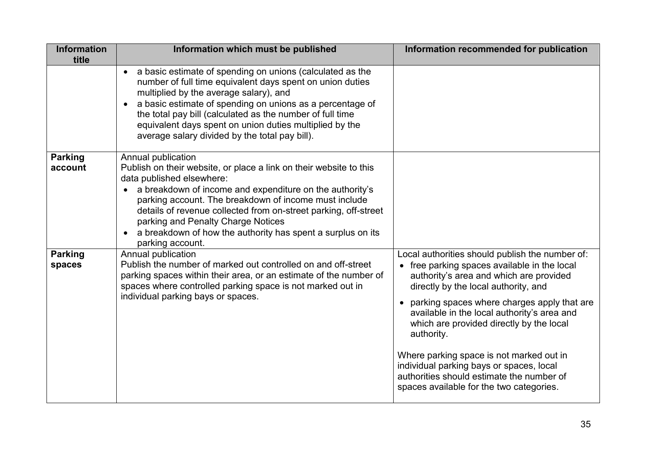| <b>Information</b><br>title | Information which must be published                                                                                                                                                                                                                                                                                                                                                                                                    | Information recommended for publication                                                                                                                                                                                                                                                                                                                                                                                                                                                                                       |
|-----------------------------|----------------------------------------------------------------------------------------------------------------------------------------------------------------------------------------------------------------------------------------------------------------------------------------------------------------------------------------------------------------------------------------------------------------------------------------|-------------------------------------------------------------------------------------------------------------------------------------------------------------------------------------------------------------------------------------------------------------------------------------------------------------------------------------------------------------------------------------------------------------------------------------------------------------------------------------------------------------------------------|
|                             | a basic estimate of spending on unions (calculated as the<br>number of full time equivalent days spent on union duties<br>multiplied by the average salary), and<br>a basic estimate of spending on unions as a percentage of<br>the total pay bill (calculated as the number of full time<br>equivalent days spent on union duties multiplied by the<br>average salary divided by the total pay bill).                                |                                                                                                                                                                                                                                                                                                                                                                                                                                                                                                                               |
| <b>Parking</b><br>account   | Annual publication<br>Publish on their website, or place a link on their website to this<br>data published elsewhere:<br>a breakdown of income and expenditure on the authority's<br>parking account. The breakdown of income must include<br>details of revenue collected from on-street parking, off-street<br>parking and Penalty Charge Notices<br>a breakdown of how the authority has spent a surplus on its<br>parking account. |                                                                                                                                                                                                                                                                                                                                                                                                                                                                                                                               |
| <b>Parking</b><br>spaces    | Annual publication<br>Publish the number of marked out controlled on and off-street<br>parking spaces within their area, or an estimate of the number of<br>spaces where controlled parking space is not marked out in<br>individual parking bays or spaces.                                                                                                                                                                           | Local authorities should publish the number of:<br>• free parking spaces available in the local<br>authority's area and which are provided<br>directly by the local authority, and<br>• parking spaces where charges apply that are<br>available in the local authority's area and<br>which are provided directly by the local<br>authority.<br>Where parking space is not marked out in<br>individual parking bays or spaces, local<br>authorities should estimate the number of<br>spaces available for the two categories. |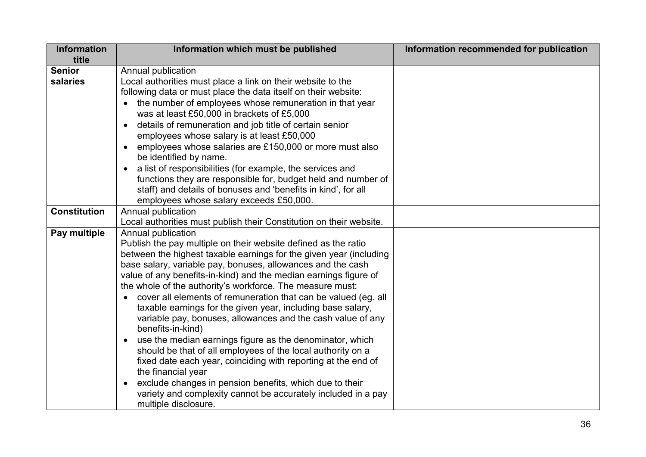| <b>Information</b>  | Information which must be published                                   | Information recommended for publication |
|---------------------|-----------------------------------------------------------------------|-----------------------------------------|
| title               |                                                                       |                                         |
| <b>Senior</b>       | Annual publication                                                    |                                         |
| salaries            | Local authorities must place a link on their website to the           |                                         |
|                     | following data or must place the data itself on their website:        |                                         |
|                     | the number of employees whose remuneration in that year               |                                         |
|                     | was at least £50,000 in brackets of £5,000                            |                                         |
|                     | details of remuneration and job title of certain senior               |                                         |
|                     | employees whose salary is at least £50,000                            |                                         |
|                     | employees whose salaries are £150,000 or more must also               |                                         |
|                     | be identified by name.                                                |                                         |
|                     | a list of responsibilities (for example, the services and             |                                         |
|                     | functions they are responsible for, budget held and number of         |                                         |
|                     | staff) and details of bonuses and 'benefits in kind', for all         |                                         |
|                     | employees whose salary exceeds £50,000.                               |                                         |
| <b>Constitution</b> | Annual publication                                                    |                                         |
|                     | Local authorities must publish their Constitution on their website.   |                                         |
| Pay multiple        | Annual publication                                                    |                                         |
|                     | Publish the pay multiple on their website defined as the ratio        |                                         |
|                     | between the highest taxable earnings for the given year (including    |                                         |
|                     | base salary, variable pay, bonuses, allowances and the cash           |                                         |
|                     | value of any benefits-in-kind) and the median earnings figure of      |                                         |
|                     | the whole of the authority's workforce. The measure must:             |                                         |
|                     | cover all elements of remuneration that can be valued (eg. all        |                                         |
|                     | taxable earnings for the given year, including base salary,           |                                         |
|                     | variable pay, bonuses, allowances and the cash value of any           |                                         |
|                     | benefits-in-kind)                                                     |                                         |
|                     | use the median earnings figure as the denominator, which<br>$\bullet$ |                                         |
|                     | should be that of all employees of the local authority on a           |                                         |
|                     | fixed date each year, coinciding with reporting at the end of         |                                         |
|                     | the financial year                                                    |                                         |
|                     | exclude changes in pension benefits, which due to their<br>$\bullet$  |                                         |
|                     | variety and complexity cannot be accurately included in a pay         |                                         |
|                     | multiple disclosure.                                                  |                                         |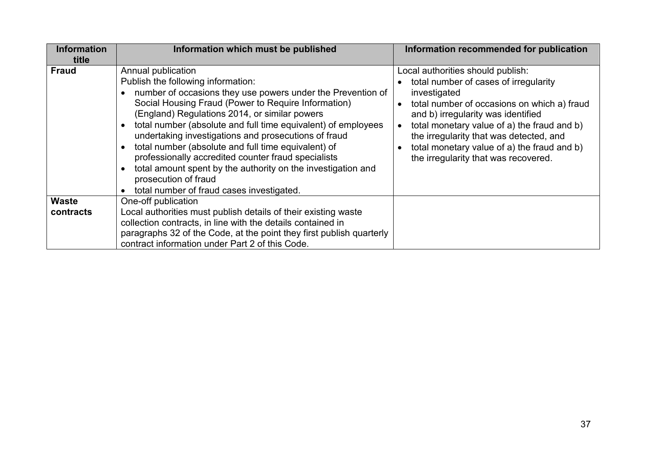| <b>Information</b> | Information which must be published                                                                                                                                                                                                                                                                                                                                                                                                                                                                                                                                                                                                                             | Information recommended for publication                                                                                                                                                                                                                                                                                                                          |  |  |  |
|--------------------|-----------------------------------------------------------------------------------------------------------------------------------------------------------------------------------------------------------------------------------------------------------------------------------------------------------------------------------------------------------------------------------------------------------------------------------------------------------------------------------------------------------------------------------------------------------------------------------------------------------------------------------------------------------------|------------------------------------------------------------------------------------------------------------------------------------------------------------------------------------------------------------------------------------------------------------------------------------------------------------------------------------------------------------------|--|--|--|
| title              |                                                                                                                                                                                                                                                                                                                                                                                                                                                                                                                                                                                                                                                                 |                                                                                                                                                                                                                                                                                                                                                                  |  |  |  |
| <b>Fraud</b>       | Annual publication<br>Publish the following information:<br>number of occasions they use powers under the Prevention of<br>Social Housing Fraud (Power to Require Information)<br>(England) Regulations 2014, or similar powers<br>total number (absolute and full time equivalent) of employees<br>$\bullet$<br>undertaking investigations and prosecutions of fraud<br>total number (absolute and full time equivalent) of<br>$\bullet$<br>professionally accredited counter fraud specialists<br>total amount spent by the authority on the investigation and<br>$\bullet$<br>prosecution of fraud<br>total number of fraud cases investigated.<br>$\bullet$ | Local authorities should publish:<br>total number of cases of irregularity<br>investigated<br>total number of occasions on which a) fraud<br>and b) irregularity was identified<br>total monetary value of a) the fraud and b)<br>the irregularity that was detected, and<br>total monetary value of a) the fraud and b)<br>the irregularity that was recovered. |  |  |  |
| <b>Waste</b>       | One-off publication                                                                                                                                                                                                                                                                                                                                                                                                                                                                                                                                                                                                                                             |                                                                                                                                                                                                                                                                                                                                                                  |  |  |  |
| contracts          | Local authorities must publish details of their existing waste                                                                                                                                                                                                                                                                                                                                                                                                                                                                                                                                                                                                  |                                                                                                                                                                                                                                                                                                                                                                  |  |  |  |
|                    | collection contracts, in line with the details contained in                                                                                                                                                                                                                                                                                                                                                                                                                                                                                                                                                                                                     |                                                                                                                                                                                                                                                                                                                                                                  |  |  |  |
|                    | paragraphs 32 of the Code, at the point they first publish quarterly                                                                                                                                                                                                                                                                                                                                                                                                                                                                                                                                                                                            |                                                                                                                                                                                                                                                                                                                                                                  |  |  |  |
|                    | contract information under Part 2 of this Code.                                                                                                                                                                                                                                                                                                                                                                                                                                                                                                                                                                                                                 |                                                                                                                                                                                                                                                                                                                                                                  |  |  |  |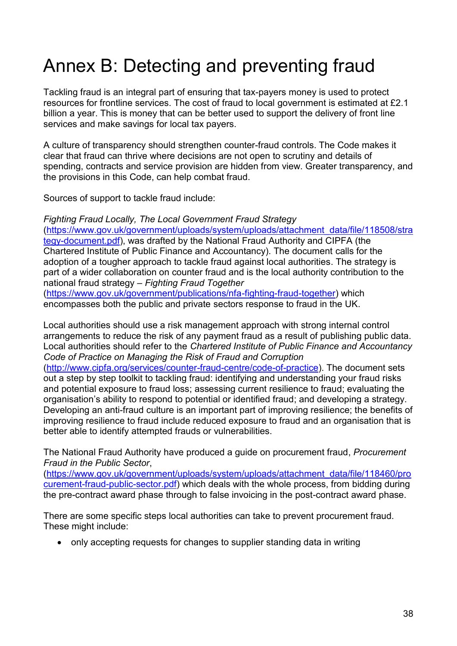# Annex B: Detecting and preventing fraud

Tackling fraud is an integral part of ensuring that tax-payers money is used to protect resources for frontline services. The cost of fraud to local government is estimated at £2.1 billion a year. This is money that can be better used to support the delivery of front line services and make savings for local tax payers.

A culture of transparency should strengthen counter-fraud controls. The Code makes it clear that fraud can thrive where decisions are not open to scrutiny and details of spending, contracts and service provision are hidden from view. Greater transparency, and the provisions in this Code, can help combat fraud.

Sources of support to tackle fraud include:

*Fighting Fraud Locally, The Local Government Fraud Strategy* [\(https://www.gov.uk/government/uploads/system/uploads/attachment\\_data/file/118508/stra](https://www.gov.uk/government/uploads/system/uploads/attachment_data/file/118508/strategy-document.pdf) [tegy-document.pdf\)](https://www.gov.uk/government/uploads/system/uploads/attachment_data/file/118508/strategy-document.pdf), was drafted by the National Fraud Authority and CIPFA (the Chartered Institute of Public Finance and Accountancy). The document calls for the adoption of a tougher approach to tackle fraud against local authorities. The strategy is part of a wider collaboration on counter fraud and is the local authority contribution to the national fraud strategy – *Fighting Fraud Together*

[\(https://www.gov.uk/government/publications/nfa-fighting-fraud-together\)](https://www.gov.uk/government/publications/nfa-fighting-fraud-together) which encompasses both the public and private sectors response to fraud in the UK.

Local authorities should use a risk management approach with strong internal control arrangements to reduce the risk of any payment fraud as a result of publishing public data. Local authorities should refer to the *Chartered Institute of Public Finance and Accountancy Code of Practice on Managing the Risk of Fraud and Corruption*

[\(http://www.cipfa.org/services/counter-fraud-centre/code-of-practice\)](http://www.cipfa.org/services/counter-fraud-centre/code-of-practice). The document sets out a step by step toolkit to tackling fraud: identifying and understanding your fraud risks and potential exposure to fraud loss; assessing current resilience to fraud; evaluating the organisation's ability to respond to potential or identified fraud; and developing a strategy. Developing an anti-fraud culture is an important part of improving resilience; the benefits of improving resilience to fraud include reduced exposure to fraud and an organisation that is better able to identify attempted frauds or vulnerabilities.

The National Fraud Authority have produced a guide on procurement fraud, *Procurement Fraud in the Public Sector*,

[\(https://www.gov.uk/government/uploads/system/uploads/attachment\\_data/file/118460/pro](https://www.gov.uk/government/uploads/system/uploads/attachment_data/file/118460/procurement-fraud-public-sector.pdf) [curement-fraud-public-sector.pdf\)](https://www.gov.uk/government/uploads/system/uploads/attachment_data/file/118460/procurement-fraud-public-sector.pdf) which deals with the whole process, from bidding during the pre-contract award phase through to false invoicing in the post-contract award phase.

There are some specific steps local authorities can take to prevent procurement fraud. These might include:

• only accepting requests for changes to supplier standing data in writing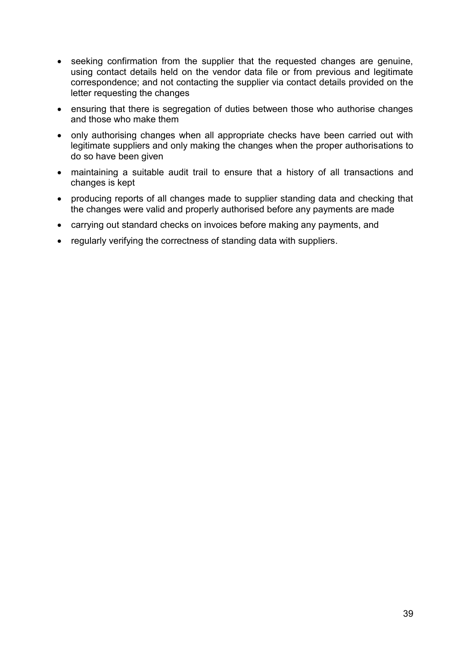- seeking confirmation from the supplier that the requested changes are genuine, using contact details held on the vendor data file or from previous and legitimate correspondence; and not contacting the supplier via contact details provided on the letter requesting the changes
- ensuring that there is segregation of duties between those who authorise changes and those who make them
- only authorising changes when all appropriate checks have been carried out with legitimate suppliers and only making the changes when the proper authorisations to do so have been given
- maintaining a suitable audit trail to ensure that a history of all transactions and changes is kept
- producing reports of all changes made to supplier standing data and checking that the changes were valid and properly authorised before any payments are made
- carrying out standard checks on invoices before making any payments, and
- regularly verifying the correctness of standing data with suppliers.